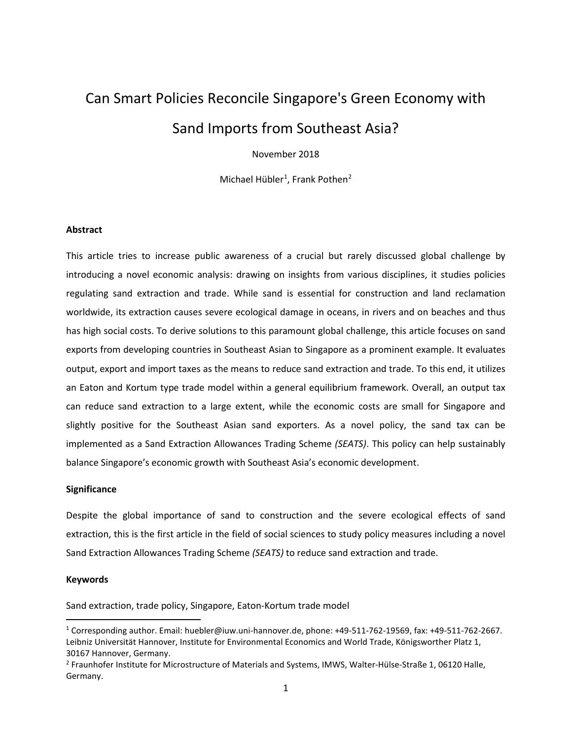## Can Smart Policies Reconcile Singapore's Green Economy with Sand Imports from Southeast Asia?

November 2018

Michael Hübler<sup>[1](#page-0-0)</sup>, Frank Pothen<sup>[2](#page-0-1)</sup>

## **Abstract**

This article tries to increase public awareness of a crucial but rarely discussed global challenge by introducing a novel economic analysis: drawing on insights from various disciplines, it studies policies regulating sand extraction and trade. While sand is essential for construction and land reclamation worldwide, its extraction causes severe ecological damage in oceans, in rivers and on beaches and thus has high social costs. To derive solutions to this paramount global challenge, this article focuses on sand exports from developing countries in Southeast Asian to Singapore as a prominent example. It evaluates output, export and import taxes as the means to reduce sand extraction and trade. To this end, it utilizes an Eaton and Kortum type trade model within a general equilibrium framework. Overall, an output tax can reduce sand extraction to a large extent, while the economic costs are small for Singapore and slightly positive for the Southeast Asian sand exporters. As a novel policy, the sand tax can be implemented as a Sand Extraction Allowances Trading Scheme *(SEATS)*. This policy can help sustainably balance Singapore's economic growth with Southeast Asia's economic development.

## **Significance**

Despite the global importance of sand to construction and the severe ecological effects of sand extraction, this is the first article in the field of social sciences to study policy measures including a novel Sand Extraction Allowances Trading Scheme *(SEATS)* to reduce sand extraction and trade.

#### **Keywords**

Sand extraction, trade policy, Singapore, Eaton-Kortum trade model

<span id="page-0-0"></span> <sup>1</sup> Corresponding author. Email: huebler@iuw.uni-hannover.de, phone: +49-511-762-19569, fax: +49-511-762-2667. Leibniz Universität Hannover, Institute for Environmental Economics and World Trade, Königsworther Platz 1, 30167 Hannover, Germany.

<span id="page-0-1"></span><sup>&</sup>lt;sup>2</sup> Fraunhofer Institute for Microstructure of Materials and Systems, IMWS, Walter-Hülse-Straße 1, 06120 Halle, Germany.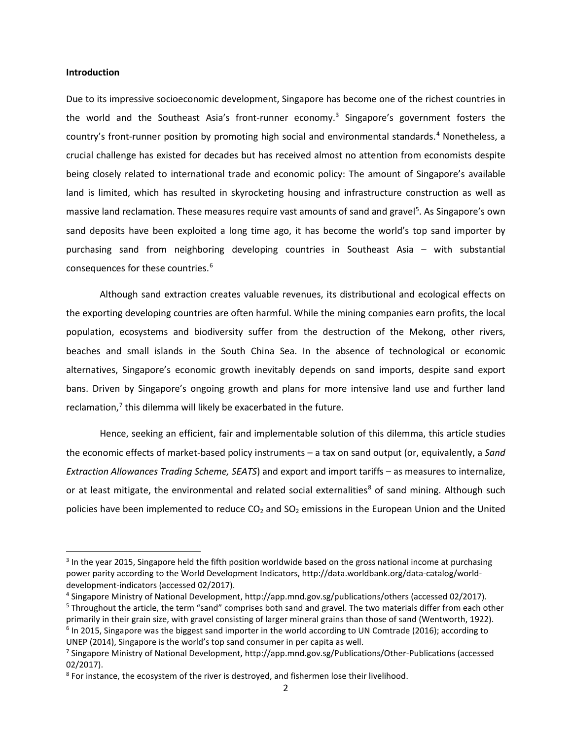## **Introduction**

Due to its impressive socioeconomic development, Singapore has become one of the richest countries in the world and the Southeast Asia's front-runner economy.[3](#page-1-0) Singapore's government fosters the country's front-runner position by promoting high social and environmental standards.<sup>[4](#page-1-1)</sup> Nonetheless, a crucial challenge has existed for decades but has received almost no attention from economists despite being closely related to international trade and economic policy: The amount of Singapore's available land is limited, which has resulted in skyrocketing housing and infrastructure construction as well as massive land reclamation. These measures require vast amounts of sand and gravel<sup>[5](#page-1-2)</sup>. As Singapore's own sand deposits have been exploited a long time ago, it has become the world's top sand importer by purchasing sand from neighboring developing countries in Southeast Asia – with substantial consequences for these countries.<sup>[6](#page-1-3)</sup>

Although sand extraction creates valuable revenues, its distributional and ecological effects on the exporting developing countries are often harmful. While the mining companies earn profits, the local population, ecosystems and biodiversity suffer from the destruction of the Mekong, other rivers, beaches and small islands in the South China Sea. In the absence of technological or economic alternatives, Singapore's economic growth inevitably depends on sand imports, despite sand export bans. Driven by Singapore's ongoing growth and plans for more intensive land use and further land reclamation, $<sup>7</sup>$  $<sup>7</sup>$  $<sup>7</sup>$  this dilemma will likely be exacerbated in the future.</sup>

Hence, seeking an efficient, fair and implementable solution of this dilemma, this article studies the economic effects of market-based policy instruments – a tax on sand output (or, equivalently, a *Sand Extraction Allowances Trading Scheme, SEATS*) and export and import tariffs – as measures to internalize, or at least mitigate, the environmental and related social externalities<sup>[8](#page-1-5)</sup> of sand mining. Although such policies have been implemented to reduce  $CO<sub>2</sub>$  and  $SO<sub>2</sub>$  emissions in the European Union and the United

<span id="page-1-0"></span><sup>&</sup>lt;sup>3</sup> In the year 2015, Singapore held the fifth position worldwide based on the gross national income at purchasing power parity according to the World Development Indicators, http://data.worldbank.org/data-catalog/worlddevelopment-indicators (accessed 02/2017).

<span id="page-1-1"></span><sup>4</sup> Singapore Ministry of National Development, http://app.mnd.gov.sg/publications/others (accessed 02/2017).

<span id="page-1-3"></span><span id="page-1-2"></span><sup>&</sup>lt;sup>5</sup> Throughout the article, the term "sand" comprises both sand and gravel. The two materials differ from each other primarily in their grain size, with gravel consisting of larger mineral grains than those of sand (Wentworth, 1922).  $6$  In 2015, Singapore was the biggest sand importer in the world according to UN Comtrade (2016); according to UNEP (2014), Singapore is the world's top sand consumer in per capita as well.

<span id="page-1-4"></span><sup>7</sup> Singapore Ministry of National Development, http://app.mnd.gov.sg/Publications/Other-Publications (accessed 02/2017).

<span id="page-1-5"></span><sup>&</sup>lt;sup>8</sup> For instance, the ecosystem of the river is destroyed, and fishermen lose their livelihood.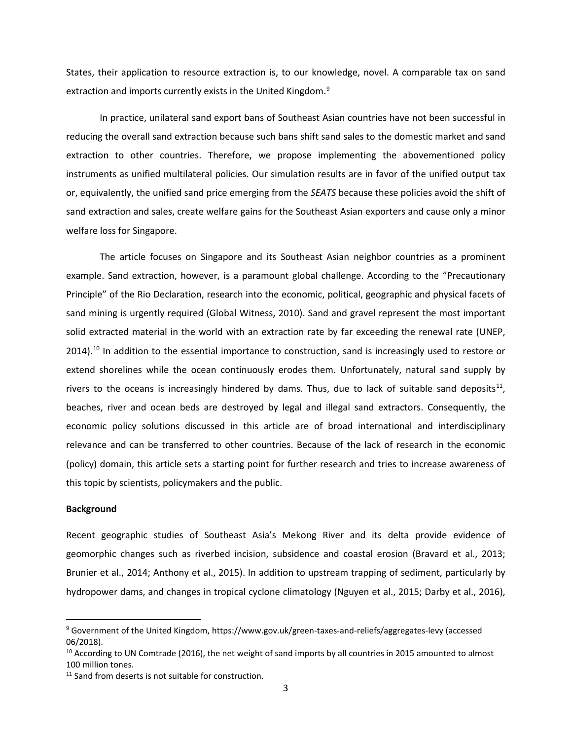States, their application to resource extraction is, to our knowledge, novel. A comparable tax on sand extraction and imports currently exists in the United Kingdom.<sup>[9](#page-2-0)</sup>

In practice, unilateral sand export bans of Southeast Asian countries have not been successful in reducing the overall sand extraction because such bans shift sand sales to the domestic market and sand extraction to other countries. Therefore, we propose implementing the abovementioned policy instruments as unified multilateral policies. Our simulation results are in favor of the unified output tax or, equivalently, the unified sand price emerging from the *SEATS* because these policies avoid the shift of sand extraction and sales, create welfare gains for the Southeast Asian exporters and cause only a minor welfare loss for Singapore.

The article focuses on Singapore and its Southeast Asian neighbor countries as a prominent example. Sand extraction, however, is a paramount global challenge. According to the "Precautionary Principle" of the Rio Declaration, research into the economic, political, geographic and physical facets of sand mining is urgently required (Global Witness, 2010). Sand and gravel represent the most important solid extracted material in the world with an extraction rate by far exceeding the renewal rate (UNEP, 2014).<sup>[10](#page-2-1)</sup> In addition to the essential importance to construction, sand is increasingly used to restore or extend shorelines while the ocean continuously erodes them. Unfortunately, natural sand supply by rivers to the oceans is increasingly hindered by dams. Thus, due to lack of suitable sand deposits<sup>[11](#page-2-2)</sup>, beaches, river and ocean beds are destroyed by legal and illegal sand extractors. Consequently, the economic policy solutions discussed in this article are of broad international and interdisciplinary relevance and can be transferred to other countries. Because of the lack of research in the economic (policy) domain, this article sets a starting point for further research and tries to increase awareness of this topic by scientists, policymakers and the public.

#### **Background**

Recent geographic studies of Southeast Asia's Mekong River and its delta provide evidence of geomorphic changes such as riverbed incision, subsidence and coastal erosion (Bravard et al., 2013; Brunier et al., 2014; Anthony et al., 2015). In addition to upstream trapping of sediment, particularly by hydropower dams, and changes in tropical cyclone climatology (Nguyen et al., 2015; Darby et al., 2016),

<span id="page-2-0"></span><sup>&</sup>lt;sup>9</sup> Government of the United Kingdom, https://www.gov.uk/green-taxes-and-reliefs/aggregates-levy (accessed 06/2018).

<span id="page-2-1"></span> $10$  According to UN Comtrade (2016), the net weight of sand imports by all countries in 2015 amounted to almost 100 million tones.

<span id="page-2-2"></span> $11$  Sand from deserts is not suitable for construction.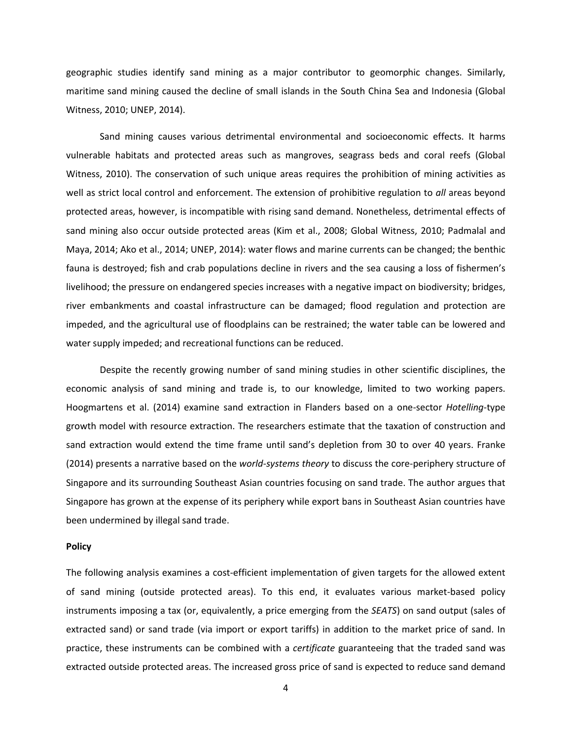geographic studies identify sand mining as a major contributor to geomorphic changes. Similarly, maritime sand mining caused the decline of small islands in the South China Sea and Indonesia (Global Witness, 2010; UNEP, 2014).

Sand mining causes various detrimental environmental and socioeconomic effects. It harms vulnerable habitats and protected areas such as mangroves, seagrass beds and coral reefs (Global Witness, 2010). The conservation of such unique areas requires the prohibition of mining activities as well as strict local control and enforcement. The extension of prohibitive regulation to *all* areas beyond protected areas, however, is incompatible with rising sand demand. Nonetheless, detrimental effects of sand mining also occur outside protected areas (Kim et al., 2008; Global Witness, 2010; Padmalal and Maya, 2014; Ako et al., 2014; UNEP, 2014): water flows and marine currents can be changed; the benthic fauna is destroyed; fish and crab populations decline in rivers and the sea causing a loss of fishermen's livelihood; the pressure on endangered species increases with a negative impact on biodiversity; bridges, river embankments and coastal infrastructure can be damaged; flood regulation and protection are impeded, and the agricultural use of floodplains can be restrained; the water table can be lowered and water supply impeded; and recreational functions can be reduced.

Despite the recently growing number of sand mining studies in other scientific disciplines, the economic analysis of sand mining and trade is, to our knowledge, limited to two working papers. Hoogmartens et al. (2014) examine sand extraction in Flanders based on a one-sector *Hotelling*-type growth model with resource extraction. The researchers estimate that the taxation of construction and sand extraction would extend the time frame until sand's depletion from 30 to over 40 years. Franke (2014) presents a narrative based on the *world-systems theory* to discuss the core-periphery structure of Singapore and its surrounding Southeast Asian countries focusing on sand trade. The author argues that Singapore has grown at the expense of its periphery while export bans in Southeast Asian countries have been undermined by illegal sand trade.

#### **Policy**

The following analysis examines a cost-efficient implementation of given targets for the allowed extent of sand mining (outside protected areas). To this end, it evaluates various market-based policy instruments imposing a tax (or, equivalently, a price emerging from the *SEATS*) on sand output (sales of extracted sand) or sand trade (via import or export tariffs) in addition to the market price of sand. In practice, these instruments can be combined with a *certificate* guaranteeing that the traded sand was extracted outside protected areas. The increased gross price of sand is expected to reduce sand demand

4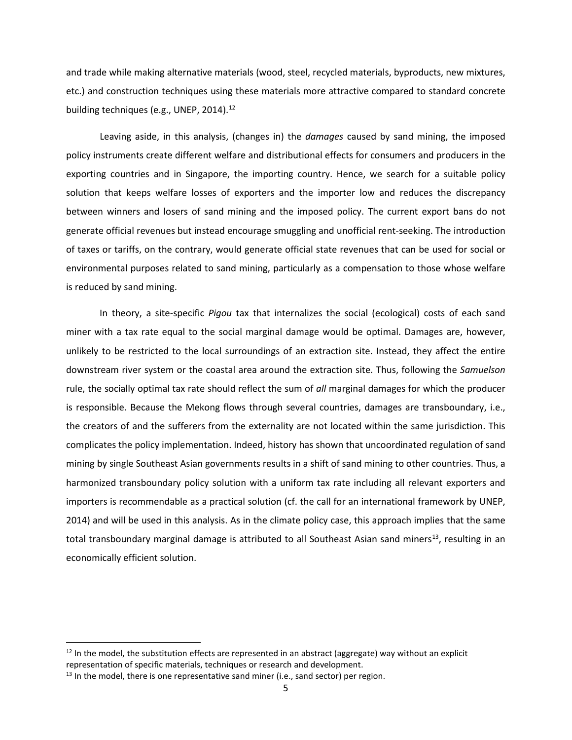and trade while making alternative materials (wood, steel, recycled materials, byproducts, new mixtures, etc.) and construction techniques using these materials more attractive compared to standard concrete building techniques (e.g., UNEP, 2014).<sup>[12](#page-4-0)</sup>

Leaving aside, in this analysis, (changes in) the *damages* caused by sand mining, the imposed policy instruments create different welfare and distributional effects for consumers and producers in the exporting countries and in Singapore, the importing country. Hence, we search for a suitable policy solution that keeps welfare losses of exporters and the importer low and reduces the discrepancy between winners and losers of sand mining and the imposed policy. The current export bans do not generate official revenues but instead encourage smuggling and unofficial rent-seeking. The introduction of taxes or tariffs, on the contrary, would generate official state revenues that can be used for social or environmental purposes related to sand mining, particularly as a compensation to those whose welfare is reduced by sand mining.

In theory, a site-specific *Pigou* tax that internalizes the social (ecological) costs of each sand miner with a tax rate equal to the social marginal damage would be optimal. Damages are, however, unlikely to be restricted to the local surroundings of an extraction site. Instead, they affect the entire downstream river system or the coastal area around the extraction site. Thus, following the *Samuelson* rule, the socially optimal tax rate should reflect the sum of *all* marginal damages for which the producer is responsible. Because the Mekong flows through several countries, damages are transboundary, i.e., the creators of and the sufferers from the externality are not located within the same jurisdiction. This complicates the policy implementation. Indeed, history has shown that uncoordinated regulation of sand mining by single Southeast Asian governments results in a shift of sand mining to other countries. Thus, a harmonized transboundary policy solution with a uniform tax rate including all relevant exporters and importers is recommendable as a practical solution (cf. the call for an international framework by UNEP, 2014) and will be used in this analysis. As in the climate policy case, this approach implies that the same total transboundary marginal damage is attributed to all Southeast Asian sand miners<sup>13</sup>, resulting in an economically efficient solution.

<span id="page-4-0"></span> $12$  In the model, the substitution effects are represented in an abstract (aggregate) way without an explicit representation of specific materials, techniques or research and development.

<span id="page-4-1"></span> $13$  In the model, there is one representative sand miner (i.e., sand sector) per region.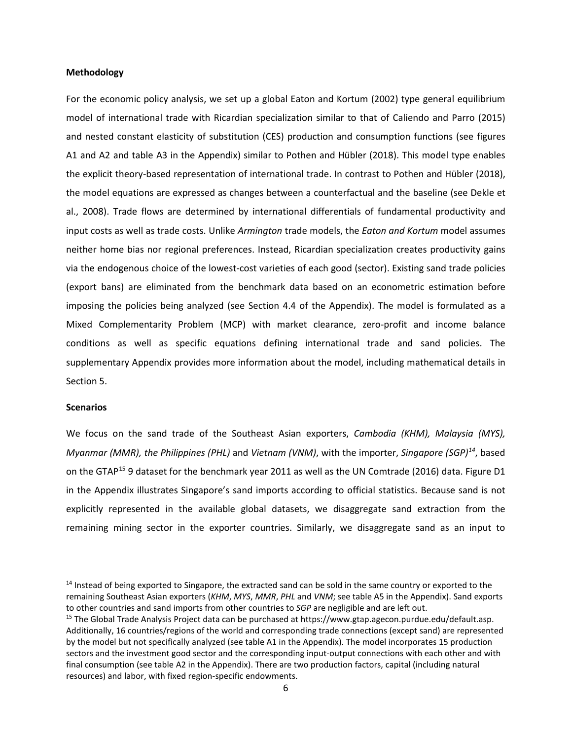## **Methodology**

For the economic policy analysis, we set up a global Eaton and Kortum (2002) type general equilibrium model of international trade with Ricardian specialization similar to that of Caliendo and Parro (2015) and nested constant elasticity of substitution (CES) production and consumption functions (see figures A1 and A2 and table A3 in the Appendix) similar to Pothen and Hübler (2018). This model type enables the explicit theory-based representation of international trade. In contrast to Pothen and Hübler (2018), the model equations are expressed as changes between a counterfactual and the baseline (see Dekle et al., 2008). Trade flows are determined by international differentials of fundamental productivity and input costs as well as trade costs. Unlike *Armington* trade models, the *Eaton and Kortum* model assumes neither home bias nor regional preferences. Instead, Ricardian specialization creates productivity gains via the endogenous choice of the lowest-cost varieties of each good (sector). Existing sand trade policies (export bans) are eliminated from the benchmark data based on an econometric estimation before imposing the policies being analyzed (see Section 4.4 of the Appendix). The model is formulated as a Mixed Complementarity Problem (MCP) with market clearance, zero-profit and income balance conditions as well as specific equations defining international trade and sand policies. The supplementary Appendix provides more information about the model, including mathematical details in Section 5.

## **Scenarios**

We focus on the sand trade of the Southeast Asian exporters, *Cambodia (KHM), Malaysia (MYS), Myanmar (MMR), the Philippines (PHL)* and *Vietnam (VNM)*, with the importer, *Singapore (SGP)[14](#page-5-0)*, based on the GTAP<sup>[15](#page-5-1)</sup> 9 dataset for the benchmark year 2011 as well as the UN Comtrade (2016) data. Figure D1 in the Appendix illustrates Singapore's sand imports according to official statistics. Because sand is not explicitly represented in the available global datasets, we disaggregate sand extraction from the remaining mining sector in the exporter countries. Similarly, we disaggregate sand as an input to

<span id="page-5-0"></span><sup>&</sup>lt;sup>14</sup> Instead of being exported to Singapore, the extracted sand can be sold in the same country or exported to the remaining Southeast Asian exporters (*KHM*, *MYS*, *MMR*, *PHL* and *VNM*; see table A5 in the Appendix). Sand exports to other countries and sand imports from other countries to *SGP* are negligible and are left out.

<span id="page-5-1"></span><sup>&</sup>lt;sup>15</sup> The Global Trade Analysis Project data can be purchased at https://www.gtap.agecon.purdue.edu/default.asp. Additionally, 16 countries/regions of the world and corresponding trade connections (except sand) are represented by the model but not specifically analyzed (see table A1 in the Appendix). The model incorporates 15 production sectors and the investment good sector and the corresponding input-output connections with each other and with final consumption (see table A2 in the Appendix). There are two production factors, capital (including natural resources) and labor, with fixed region-specific endowments.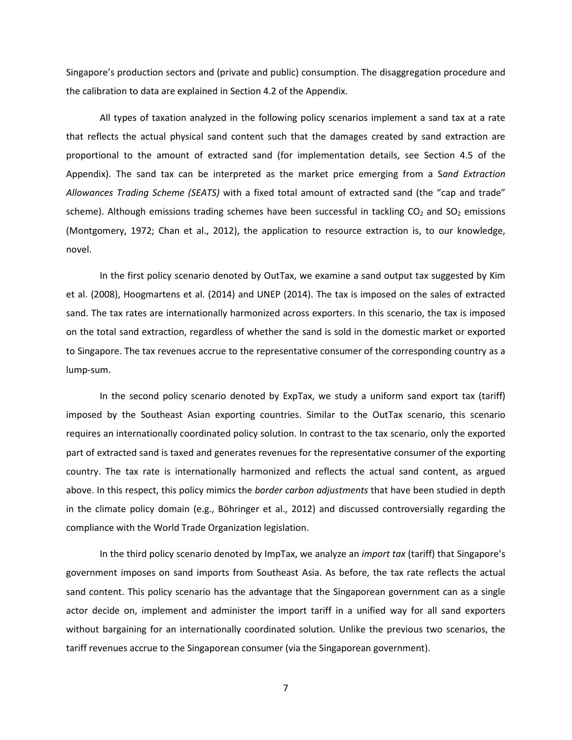Singapore's production sectors and (private and public) consumption. The disaggregation procedure and the calibration to data are explained in Section 4.2 of the Appendix.

All types of taxation analyzed in the following policy scenarios implement a sand tax at a rate that reflects the actual physical sand content such that the damages created by sand extraction are proportional to the amount of extracted sand (for implementation details, see Section 4.5 of the Appendix). The sand tax can be interpreted as the market price emerging from a S*and Extraction Allowances Trading Scheme (SEATS)* with a fixed total amount of extracted sand (the "cap and trade" scheme). Although emissions trading schemes have been successful in tackling  $CO<sub>2</sub>$  and  $SO<sub>2</sub>$  emissions (Montgomery, 1972; Chan et al., 2012), the application to resource extraction is, to our knowledge, novel.

In the first policy scenario denoted by OutTax, we examine a sand output tax suggested by Kim et al. (2008), Hoogmartens et al. (2014) and UNEP (2014). The tax is imposed on the sales of extracted sand. The tax rates are internationally harmonized across exporters. In this scenario, the tax is imposed on the total sand extraction, regardless of whether the sand is sold in the domestic market or exported to Singapore. The tax revenues accrue to the representative consumer of the corresponding country as a lump-sum.

In the second policy scenario denoted by ExpTax, we study a uniform sand export tax (tariff) imposed by the Southeast Asian exporting countries. Similar to the OutTax scenario, this scenario requires an internationally coordinated policy solution. In contrast to the tax scenario, only the exported part of extracted sand is taxed and generates revenues for the representative consumer of the exporting country. The tax rate is internationally harmonized and reflects the actual sand content, as argued above. In this respect, this policy mimics the *border carbon adjustments* that have been studied in depth in the climate policy domain (e.g., Böhringer et al., 2012) and discussed controversially regarding the compliance with the World Trade Organization legislation.

In the third policy scenario denoted by ImpTax, we analyze an *import tax* (tariff) that Singapore's government imposes on sand imports from Southeast Asia. As before, the tax rate reflects the actual sand content. This policy scenario has the advantage that the Singaporean government can as a single actor decide on, implement and administer the import tariff in a unified way for all sand exporters without bargaining for an internationally coordinated solution. Unlike the previous two scenarios, the tariff revenues accrue to the Singaporean consumer (via the Singaporean government).

7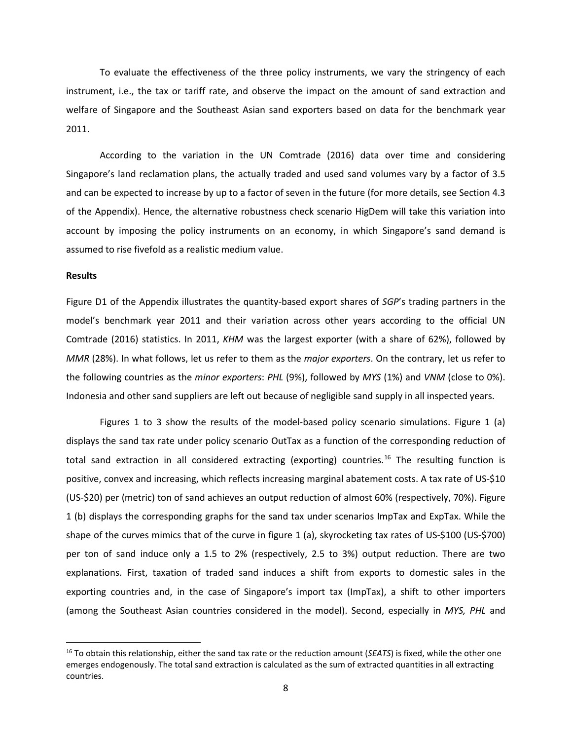To evaluate the effectiveness of the three policy instruments, we vary the stringency of each instrument, i.e., the tax or tariff rate, and observe the impact on the amount of sand extraction and welfare of Singapore and the Southeast Asian sand exporters based on data for the benchmark year 2011.

According to the variation in the UN Comtrade (2016) data over time and considering Singapore's land reclamation plans, the actually traded and used sand volumes vary by a factor of 3.5 and can be expected to increase by up to a factor of seven in the future (for more details, see Section 4.3 of the Appendix). Hence, the alternative robustness check scenario HigDem will take this variation into account by imposing the policy instruments on an economy, in which Singapore's sand demand is assumed to rise fivefold as a realistic medium value.

#### **Results**

Figure D1 of the Appendix illustrates the quantity-based export shares of *SGP*'s trading partners in the model's benchmark year 2011 and their variation across other years according to the official UN Comtrade (2016) statistics. In 2011, *KHM* was the largest exporter (with a share of 62%), followed by *MMR* (28%). In what follows, let us refer to them as the *major exporters*. On the contrary, let us refer to the following countries as the *minor exporters*: *PHL* (9%), followed by *MYS* (1%) and *VNM* (close to 0%). Indonesia and other sand suppliers are left out because of negligible sand supply in all inspected years.

Figures 1 to 3 show the results of the model-based policy scenario simulations. Figure 1 (a) displays the sand tax rate under policy scenario OutTax as a function of the corresponding reduction of total sand extraction in all considered extracting (exporting) countries.<sup>16</sup> The resulting function is positive, convex and increasing, which reflects increasing marginal abatement costs. A tax rate of US-\$10 (US-\$20) per (metric) ton of sand achieves an output reduction of almost 60% (respectively, 70%). Figure 1 (b) displays the corresponding graphs for the sand tax under scenarios ImpTax and ExpTax. While the shape of the curves mimics that of the curve in figure 1 (a), skyrocketing tax rates of US-\$100 (US-\$700) per ton of sand induce only a 1.5 to 2% (respectively, 2.5 to 3%) output reduction. There are two explanations. First, taxation of traded sand induces a shift from exports to domestic sales in the exporting countries and, in the case of Singapore's import tax (ImpTax), a shift to other importers (among the Southeast Asian countries considered in the model). Second, especially in *MYS, PHL* and

<span id="page-7-0"></span> <sup>16</sup> To obtain this relationship, either the sand tax rate or the reduction amount (*SEATS*) is fixed, while the other one emerges endogenously. The total sand extraction is calculated as the sum of extracted quantities in all extracting countries.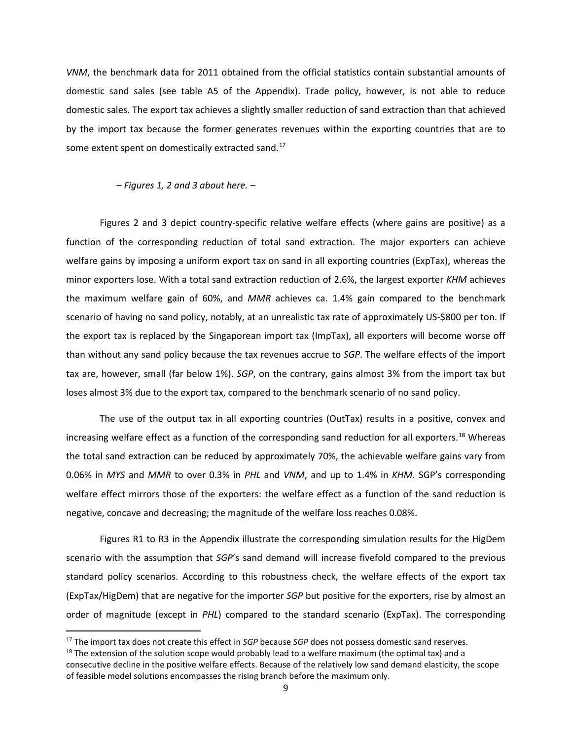*VNM*, the benchmark data for 2011 obtained from the official statistics contain substantial amounts of domestic sand sales (see table A5 of the Appendix). Trade policy, however, is not able to reduce domestic sales. The export tax achieves a slightly smaller reduction of sand extraction than that achieved by the import tax because the former generates revenues within the exporting countries that are to some extent spent on domestically extracted sand.<sup>[17](#page-8-0)</sup>

*– Figures 1, 2 and 3 about here. –*

Figures 2 and 3 depict country-specific relative welfare effects (where gains are positive) as a function of the corresponding reduction of total sand extraction. The major exporters can achieve welfare gains by imposing a uniform export tax on sand in all exporting countries (ExpTax), whereas the minor exporters lose. With a total sand extraction reduction of 2.6%, the largest exporter *KHM* achieves the maximum welfare gain of 60%, and *MMR* achieves ca. 1.4% gain compared to the benchmark scenario of having no sand policy, notably, at an unrealistic tax rate of approximately US-\$800 per ton. If the export tax is replaced by the Singaporean import tax (ImpTax), all exporters will become worse off than without any sand policy because the tax revenues accrue to *SGP*. The welfare effects of the import tax are, however, small (far below 1%). *SGP*, on the contrary, gains almost 3% from the import tax but loses almost 3% due to the export tax, compared to the benchmark scenario of no sand policy.

The use of the output tax in all exporting countries (OutTax) results in a positive, convex and increasing welfare effect as a function of the corresponding sand reduction for all exporters.<sup>[18](#page-8-1)</sup> Whereas the total sand extraction can be reduced by approximately 70%, the achievable welfare gains vary from 0.06% in *MYS* and *MMR* to over 0.3% in *PHL* and *VNM*, and up to 1.4% in *KHM*. SGP's corresponding welfare effect mirrors those of the exporters: the welfare effect as a function of the sand reduction is negative, concave and decreasing; the magnitude of the welfare loss reaches 0.08%.

Figures R1 to R3 in the Appendix illustrate the corresponding simulation results for the HigDem scenario with the assumption that *SGP*'s sand demand will increase fivefold compared to the previous standard policy scenarios. According to this robustness check, the welfare effects of the export tax (ExpTax/HigDem) that are negative for the importer *SGP* but positive for the exporters, rise by almost an order of magnitude (except in *PHL*) compared to the standard scenario (ExpTax). The corresponding

<span id="page-8-0"></span> <sup>17</sup> The import tax does not create this effect in *SGP* because *SGP* does not possess domestic sand reserves.

<span id="page-8-1"></span> $18$  The extension of the solution scope would probably lead to a welfare maximum (the optimal tax) and a consecutive decline in the positive welfare effects. Because of the relatively low sand demand elasticity, the scope of feasible model solutions encompasses the rising branch before the maximum only.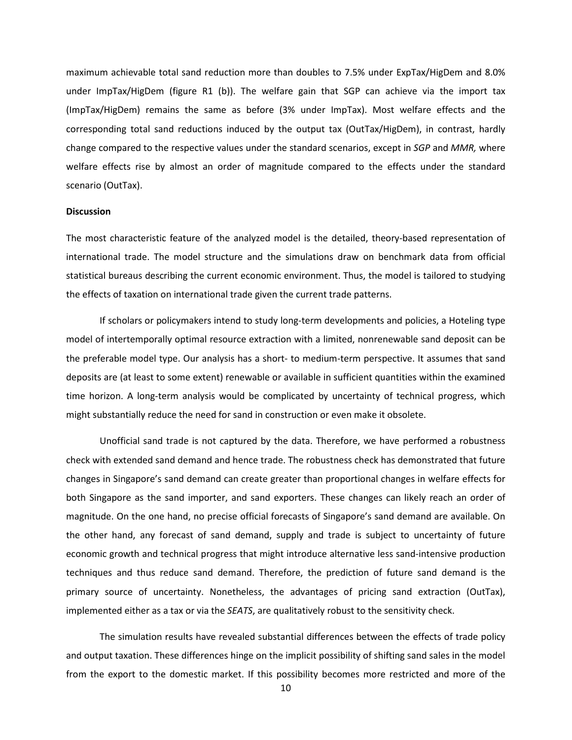maximum achievable total sand reduction more than doubles to 7.5% under ExpTax/HigDem and 8.0% under ImpTax/HigDem (figure R1 (b)). The welfare gain that SGP can achieve via the import tax (ImpTax/HigDem) remains the same as before (3% under ImpTax). Most welfare effects and the corresponding total sand reductions induced by the output tax (OutTax/HigDem), in contrast, hardly change compared to the respective values under the standard scenarios, except in *SGP* and *MMR,* where welfare effects rise by almost an order of magnitude compared to the effects under the standard scenario (OutTax).

## **Discussion**

The most characteristic feature of the analyzed model is the detailed, theory-based representation of international trade. The model structure and the simulations draw on benchmark data from official statistical bureaus describing the current economic environment. Thus, the model is tailored to studying the effects of taxation on international trade given the current trade patterns.

If scholars or policymakers intend to study long-term developments and policies, a Hoteling type model of intertemporally optimal resource extraction with a limited, nonrenewable sand deposit can be the preferable model type. Our analysis has a short- to medium-term perspective. It assumes that sand deposits are (at least to some extent) renewable or available in sufficient quantities within the examined time horizon. A long-term analysis would be complicated by uncertainty of technical progress, which might substantially reduce the need for sand in construction or even make it obsolete.

Unofficial sand trade is not captured by the data. Therefore, we have performed a robustness check with extended sand demand and hence trade. The robustness check has demonstrated that future changes in Singapore's sand demand can create greater than proportional changes in welfare effects for both Singapore as the sand importer, and sand exporters. These changes can likely reach an order of magnitude. On the one hand, no precise official forecasts of Singapore's sand demand are available. On the other hand, any forecast of sand demand, supply and trade is subject to uncertainty of future economic growth and technical progress that might introduce alternative less sand-intensive production techniques and thus reduce sand demand. Therefore, the prediction of future sand demand is the primary source of uncertainty. Nonetheless, the advantages of pricing sand extraction (OutTax), implemented either as a tax or via the *SEATS*, are qualitatively robust to the sensitivity check.

The simulation results have revealed substantial differences between the effects of trade policy and output taxation. These differences hinge on the implicit possibility of shifting sand sales in the model from the export to the domestic market. If this possibility becomes more restricted and more of the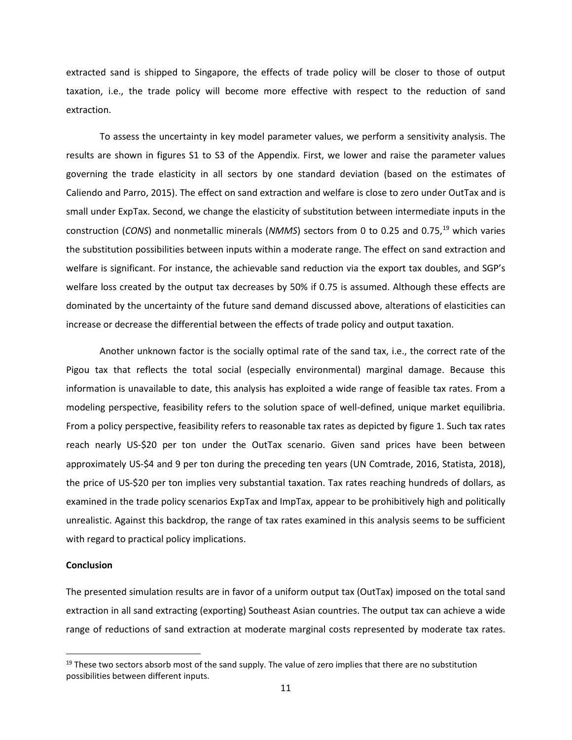extracted sand is shipped to Singapore, the effects of trade policy will be closer to those of output taxation, i.e., the trade policy will become more effective with respect to the reduction of sand extraction.

To assess the uncertainty in key model parameter values, we perform a sensitivity analysis. The results are shown in figures S1 to S3 of the Appendix. First, we lower and raise the parameter values governing the trade elasticity in all sectors by one standard deviation (based on the estimates of Caliendo and Parro, 2015). The effect on sand extraction and welfare is close to zero under OutTax and is small under ExpTax. Second, we change the elasticity of substitution between intermediate inputs in the construction (CONS) and nonmetallic minerals (NMMS) sectors from 0 to 0.25 and 0.75,<sup>[19](#page-10-0)</sup> which varies the substitution possibilities between inputs within a moderate range. The effect on sand extraction and welfare is significant. For instance, the achievable sand reduction via the export tax doubles, and SGP's welfare loss created by the output tax decreases by 50% if 0.75 is assumed. Although these effects are dominated by the uncertainty of the future sand demand discussed above, alterations of elasticities can increase or decrease the differential between the effects of trade policy and output taxation.

Another unknown factor is the socially optimal rate of the sand tax, i.e., the correct rate of the Pigou tax that reflects the total social (especially environmental) marginal damage. Because this information is unavailable to date, this analysis has exploited a wide range of feasible tax rates. From a modeling perspective, feasibility refers to the solution space of well-defined, unique market equilibria. From a policy perspective, feasibility refers to reasonable tax rates as depicted by figure 1. Such tax rates reach nearly US-\$20 per ton under the OutTax scenario. Given sand prices have been between approximately US-\$4 and 9 per ton during the preceding ten years (UN Comtrade, 2016, Statista, 2018), the price of US-\$20 per ton implies very substantial taxation. Tax rates reaching hundreds of dollars, as examined in the trade policy scenarios ExpTax and ImpTax, appear to be prohibitively high and politically unrealistic. Against this backdrop, the range of tax rates examined in this analysis seems to be sufficient with regard to practical policy implications.

#### **Conclusion**

The presented simulation results are in favor of a uniform output tax (OutTax) imposed on the total sand extraction in all sand extracting (exporting) Southeast Asian countries. The output tax can achieve a wide range of reductions of sand extraction at moderate marginal costs represented by moderate tax rates.

<span id="page-10-0"></span> $19$  These two sectors absorb most of the sand supply. The value of zero implies that there are no substitution possibilities between different inputs.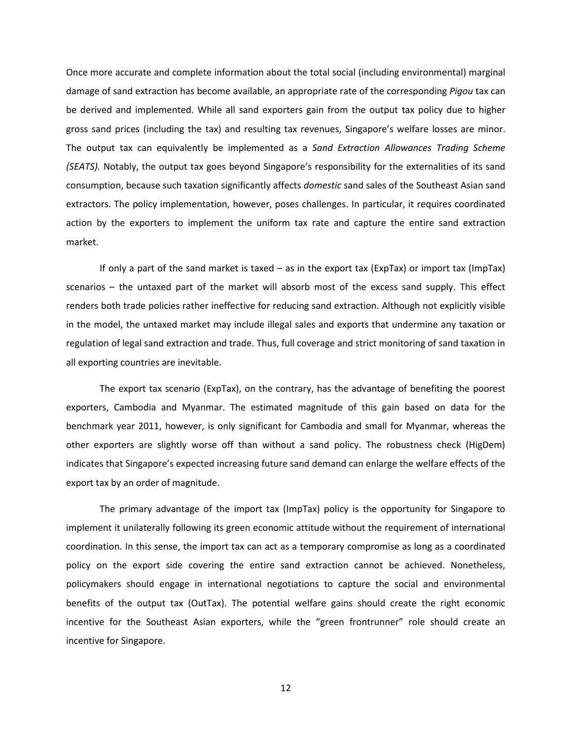Once more accurate and complete information about the total social (including environmental) marginal damage of sand extraction has become available, an appropriate rate of the corresponding *Pigou* tax can be derived and implemented. While all sand exporters gain from the output tax policy due to higher gross sand prices (including the tax) and resulting tax revenues, Singapore's welfare losses are minor. The output tax can equivalently be implemented as a *Sand Extraction Allowances Trading Scheme (SEATS).* Notably, the output tax goes beyond Singapore's responsibility for the externalities of its sand consumption, because such taxation significantly affects *domestic* sand sales of the Southeast Asian sand extractors. The policy implementation, however, poses challenges. In particular, it requires coordinated action by the exporters to implement the uniform tax rate and capture the entire sand extraction market.

If only a part of the sand market is taxed – as in the export tax (ExpTax) or import tax (ImpTax) scenarios – the untaxed part of the market will absorb most of the excess sand supply. This effect renders both trade policies rather ineffective for reducing sand extraction. Although not explicitly visible in the model, the untaxed market may include illegal sales and exports that undermine any taxation or regulation of legal sand extraction and trade. Thus, full coverage and strict monitoring of sand taxation in all exporting countries are inevitable.

The export tax scenario (ExpTax), on the contrary, has the advantage of benefiting the poorest exporters, Cambodia and Myanmar. The estimated magnitude of this gain based on data for the benchmark year 2011, however, is only significant for Cambodia and small for Myanmar, whereas the other exporters are slightly worse off than without a sand policy. The robustness check (HigDem) indicates that Singapore's expected increasing future sand demand can enlarge the welfare effects of the export tax by an order of magnitude.

The primary advantage of the import tax (ImpTax) policy is the opportunity for Singapore to implement it unilaterally following its green economic attitude without the requirement of international coordination. In this sense, the import tax can act as a temporary compromise as long as a coordinated policy on the export side covering the entire sand extraction cannot be achieved. Nonetheless, policymakers should engage in international negotiations to capture the social and environmental benefits of the output tax (OutTax). The potential welfare gains should create the right economic incentive for the Southeast Asian exporters, while the "green frontrunner" role should create an incentive for Singapore.

12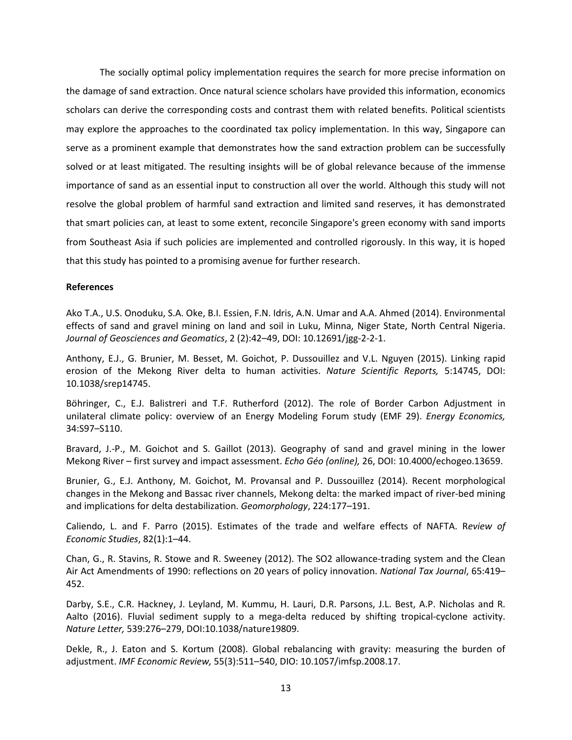The socially optimal policy implementation requires the search for more precise information on the damage of sand extraction. Once natural science scholars have provided this information, economics scholars can derive the corresponding costs and contrast them with related benefits. Political scientists may explore the approaches to the coordinated tax policy implementation. In this way, Singapore can serve as a prominent example that demonstrates how the sand extraction problem can be successfully solved or at least mitigated. The resulting insights will be of global relevance because of the immense importance of sand as an essential input to construction all over the world. Although this study will not resolve the global problem of harmful sand extraction and limited sand reserves, it has demonstrated that smart policies can, at least to some extent, reconcile Singapore's green economy with sand imports from Southeast Asia if such policies are implemented and controlled rigorously. In this way, it is hoped that this study has pointed to a promising avenue for further research.

## **References**

Ako T.A., U.S. Onoduku, S.A. Oke, B.I. Essien, F.N. Idris, A.N. Umar and A.A. Ahmed (2014). Environmental effects of sand and gravel mining on land and soil in Luku, Minna, Niger State, North Central Nigeria. *Journal of Geosciences and Geomatics*, 2 (2):42–49, DOI: 10.12691/jgg-2-2-1.

Anthony, E.J., G. Brunier, M. Besset, M. Goichot, P. Dussouillez and V.L. Nguyen (2015). Linking rapid erosion of the Mekong River delta to human activities. *Nature Scientific Reports,* 5:14745, DOI: 10.1038/srep14745.

Böhringer, C., E.J. Balistreri and T.F. Rutherford (2012). The role of Border Carbon Adjustment in unilateral climate policy: overview of an Energy Modeling Forum study (EMF 29). *Energy Economics,*  34:S97–S110.

Bravard, J.-P., M. Goichot and S. Gaillot (2013). Geography of sand and gravel mining in the lower Mekong River – first survey and impact assessment. *Echo Géo (online),* 26, DOI: 10.4000/echogeo.13659.

Brunier, G., E.J. Anthony, M. Goichot, M. Provansal and P. Dussouillez (2014). Recent morphological changes in the Mekong and Bassac river channels, Mekong delta: the marked impact of river-bed mining and implications for delta destabilization. *Geomorphology*, 224:177–191.

Caliendo, L. and F. Parro (2015). Estimates of the trade and welfare effects of NAFTA. R*eview of Economic Studies*, 82(1):1–44.

Chan, G., R. Stavins, R. Stowe and R. Sweeney (2012). The SO2 allowance-trading system and the Clean Air Act Amendments of 1990: reflections on 20 years of policy innovation. *National Tax Journal*, 65:419– 452.

Darby, S.E., C.R. Hackney, J. Leyland, M. Kummu, H. Lauri, D.R. Parsons, J.L. Best, A.P. Nicholas and R. Aalto (2016). Fluvial sediment supply to a mega-delta reduced by shifting tropical-cyclone activity. *Nature Letter,* 539:276–279, DOI:10.1038/nature19809.

Dekle, R., J. Eaton and S. Kortum (2008). Global rebalancing with gravity: measuring the burden of adjustment. *IMF Economic Review,* 55(3):511–540, DIO: 10.1057/imfsp.2008.17.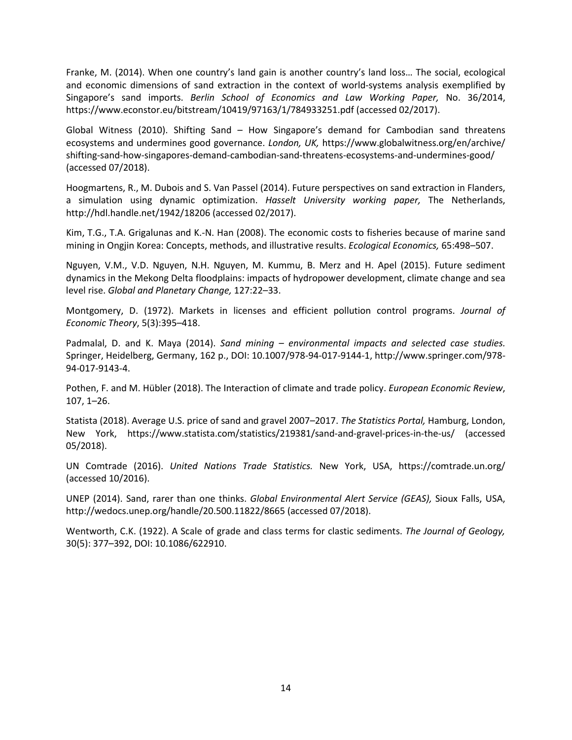Franke, M. (2014). When one country's land gain is another country's land loss… The social, ecological and economic dimensions of sand extraction in the context of world-systems analysis exemplified by Singapore's sand imports. *Berlin School of Economics and Law Working Paper,* No. 36/2014, https://www.econstor.eu/bitstream/10419/97163/1/784933251.pdf (accessed 02/2017).

Global Witness (2010). Shifting Sand – How Singapore's demand for Cambodian sand threatens ecosystems and undermines good governance. *London, UK,* https://www.globalwitness.org/en/archive/ shifting-sand-how-singapores-demand-cambodian-sand-threatens-ecosystems-and-undermines-good/ (accessed 07/2018).

Hoogmartens, R., M. Dubois and S. Van Passel (2014). Future perspectives on sand extraction in Flanders, a simulation using dynamic optimization. *Hasselt University working paper,* The Netherlands, http://hdl.handle.net/1942/18206 (accessed 02/2017).

Kim, T.G., T.A. Grigalunas and K.-N. Han (2008). The economic costs to fisheries because of marine sand mining in Ongjin Korea: Concepts, methods, and illustrative results. *Ecological Economics,* 65:498–507.

Nguyen, V.M., V.D. Nguyen, N.H. Nguyen, M. Kummu, B. Merz and H. Apel (2015). Future sediment dynamics in the Mekong Delta floodplains: impacts of hydropower development, climate change and sea level rise. *Global and Planetary Change,* 127:22–33.

Montgomery, D. (1972). Markets in licenses and efficient pollution control programs. *Journal of Economic Theory*, 5(3):395–418.

Padmalal, D. and K. Maya (2014). *Sand mining – environmental impacts and selected case studies.*  Springer, Heidelberg, Germany, 162 p., DOI: 10.1007/978-94-017-9144-1, http://www.springer.com/978- 94-017-9143-4.

Pothen, F. and M. Hübler (2018). The Interaction of climate and trade policy. *European Economic Review*, 107, 1–26.

Statista (2018). Average U.S. price of sand and gravel 2007–2017. *The Statistics Portal,* Hamburg, London, New York, https://www.statista.com/statistics/219381/sand-and-gravel-prices-in-the-us/ (accessed 05/2018).

UN Comtrade (2016). *United Nations Trade Statistics.* New York, USA, https://comtrade.un.org/ (accessed 10/2016).

UNEP (2014). Sand, rarer than one thinks. *Global Environmental Alert Service (GEAS),* Sioux Falls, USA, http://wedocs.unep.org/handle/20.500.11822/8665 (accessed 07/2018).

Wentworth, C.K. (1922). A Scale of grade and class terms for clastic sediments. *The Journal of Geology,* 30(5): 377–392, DOI: 10.1086/622910.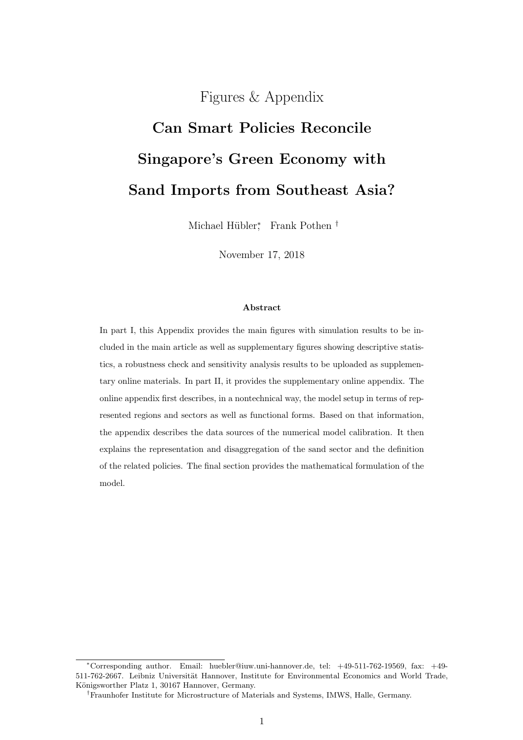Figures & Appendix

# Can Smart Policies Reconcile Singapore's Green Economy with Sand Imports from Southeast Asia?

Michael Hübler<sup>\*</sup>, Frank Pothen<sup>†</sup>

November 17, 2018

#### Abstract

In part I, this Appendix provides the main figures with simulation results to be included in the main article as well as supplementary figures showing descriptive statistics, a robustness check and sensitivity analysis results to be uploaded as supplementary online materials. In part II, it provides the supplementary online appendix. The online appendix first describes, in a nontechnical way, the model setup in terms of represented regions and sectors as well as functional forms. Based on that information, the appendix describes the data sources of the numerical model calibration. It then explains the representation and disaggregation of the sand sector and the definition of the related policies. The final section provides the mathematical formulation of the model.

<sup>∗</sup>Corresponding author. Email: huebler@iuw.uni-hannover.de, tel: +49-511-762-19569, fax: +49- 511-762-2667. Leibniz Universität Hannover, Institute for Environmental Economics and World Trade, Königsworther Platz 1, 30167 Hannover, Germany.

<sup>†</sup>Fraunhofer Institute for Microstructure of Materials and Systems, IMWS, Halle, Germany.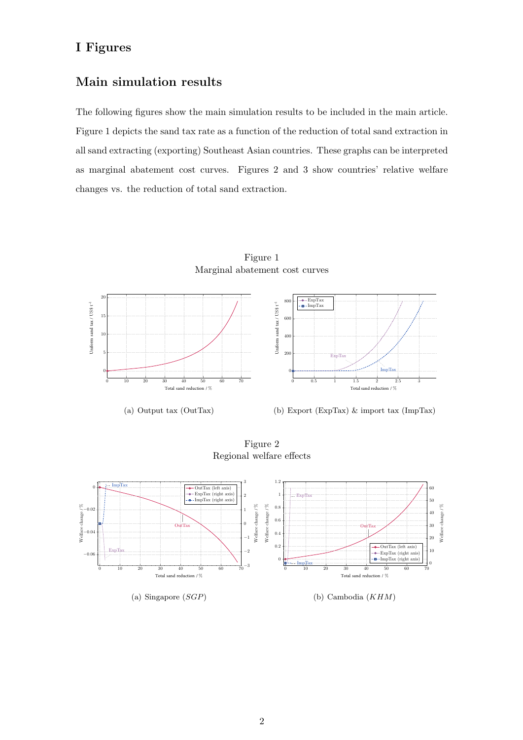## I Figures

## Main simulation results

The following figures show the main simulation results to be included in the main article. Figure 1 depicts the sand tax rate as a function of the reduction of total sand extraction in all sand extracting (exporting) Southeast Asian countries. These graphs can be interpreted as marginal abatement cost curves. Figures 2 and 3 show countries' relative welfare changes vs. the reduction of total sand extraction.



Figure 1

Figure 2

Regional welfare effects

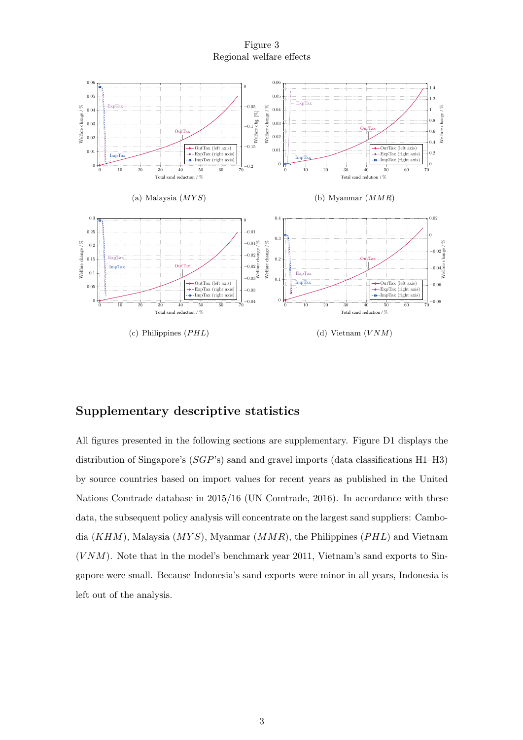Figure 3 Regional welfare effects



## Supplementary descriptive statistics

All figures presented in the following sections are supplementary. Figure D1 displays the distribution of Singapore's (SGP's) sand and gravel imports (data classifications H1–H3) by source countries based on import values for recent years as published in the United Nations Comtrade database in 2015/16 (UN Comtrade, 2016). In accordance with these data, the subsequent policy analysis will concentrate on the largest sand suppliers: Cambodia  $(KHM)$ , Malaysia  $(MYS)$ , Myanmar  $(MMR)$ , the Philippines  $(PHL)$  and Vietnam  $(VNM)$ . Note that in the model's benchmark year 2011, Vietnam's sand exports to Singapore were small. Because Indonesia's sand exports were minor in all years, Indonesia is left out of the analysis.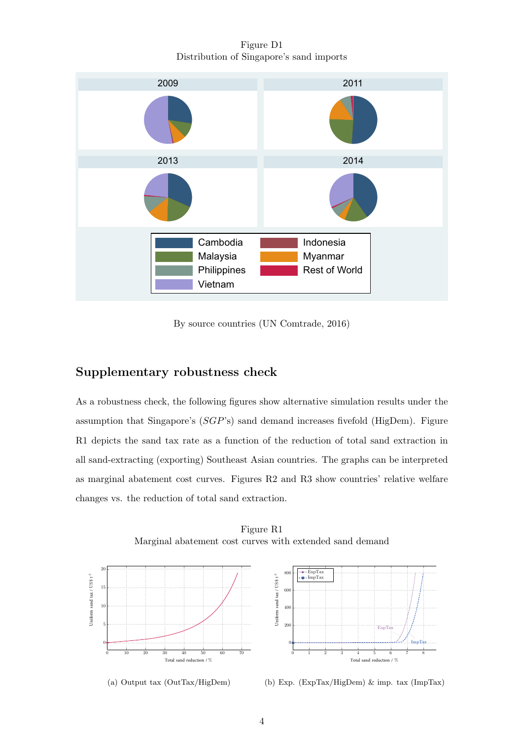Figure D1 Distribution of Singapore's sand imports



By source countries (UN Comtrade, 2016)

## Supplementary robustness check

As a robustness check, the following figures show alternative simulation results under the assumption that Singapore's (SGP's) sand demand increases fivefold (HigDem). Figure R1 depicts the sand tax rate as a function of the reduction of total sand extraction in all sand-extracting (exporting) Southeast Asian countries. The graphs can be interpreted as marginal abatement cost curves. Figures R2 and R3 show countries' relative welfare changes vs. the reduction of total sand extraction.



Figure R1 Marginal abatement cost curves with extended sand demand

(a) Output tax (OutTax/HigDem)

(b) Exp. (ExpTax/HigDem) & imp. tax (ImpTax)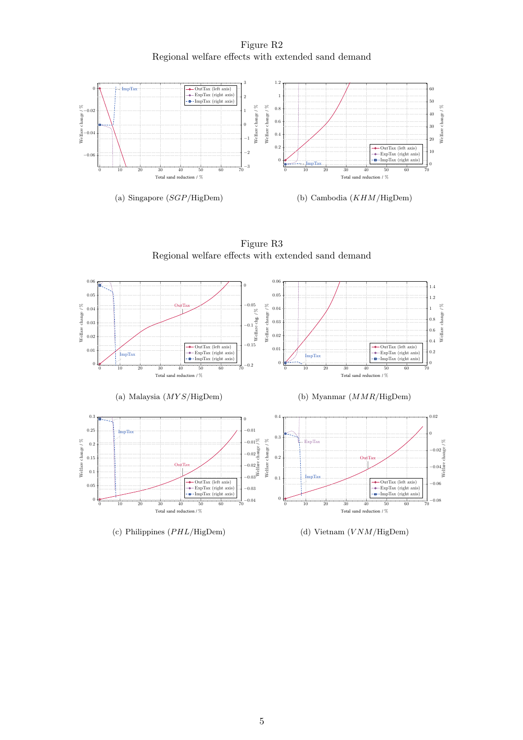Figure R2 Regional welfare effects with extended sand demand



0 10 20 30 40 50 60 70  $\theta$ 0.01 0.02 0.03 0.04  $0.05$ 0.06  $Out<sub>T</sub>$ Total sand reduction / % −0.2 −0.15 −0.1 −0.05<br>
−0.15<br>
Welfare chg. / %<br>
× 0  $\mathcal{L}$ m OutTax (left axis) ExpTax (right axis) **ImpTax** (right axis) (a) Malaysia  $(MYS/HigDem)$ 0 10 20 30 40 50 60 70 0 0.01 0.02 0.03 0.04 0.05 0.06 Total sand reduction / % Welfare change / %  $\overline{0}$ 0.2 0.4 0.6 0.8 1 1.2 1.4 ImpTax OutTax (left axis) ExpTax (right axis) ImpTax (right axis) (b) Myanmar (MMR/HigDem) 0 0.4





(c) Philippines  $(PHL/HigDem)$ 

Welfare change / %

(d) Vietnam  $(VNM/\text{Highem})$ 

Welfare change / %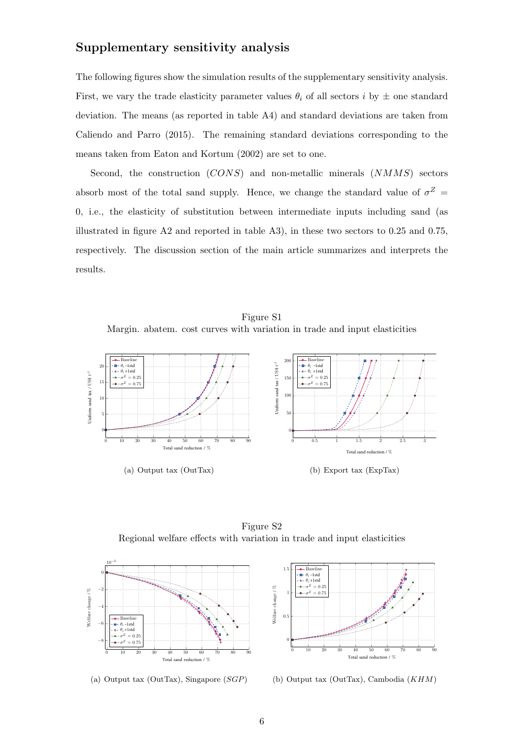## Supplementary sensitivity analysis

The following figures show the simulation results of the supplementary sensitivity analysis. First, we vary the trade elasticity parameter values  $\theta_i$  of all sectors i by  $\pm$  one standard deviation. The means (as reported in table A4) and standard deviations are taken from Caliendo and Parro (2015). The remaining standard deviations corresponding to the means taken from Eaton and Kortum (2002) are set to one.

Second, the construction  $(CONS)$  and non-metallic minerals  $(NMMS)$  sectors absorb most of the total sand supply. Hence, we change the standard value of  $\sigma^Z$  = 0, i.e., the elasticity of substitution between intermediate inputs including sand (as illustrated in figure A2 and reported in table A3), in these two sectors to 0.25 and 0.75, respectively. The discussion section of the main article summarizes and interprets the results.

Figure S1 Margin. abatem. cost curves with variation in trade and input elasticities



Figure S2 Regional welfare effects with variation in trade and input elasticities



(a) Output tax (OutTax), Singapore (SGP)



(b) Output tax (OutTax), Cambodia (KHM)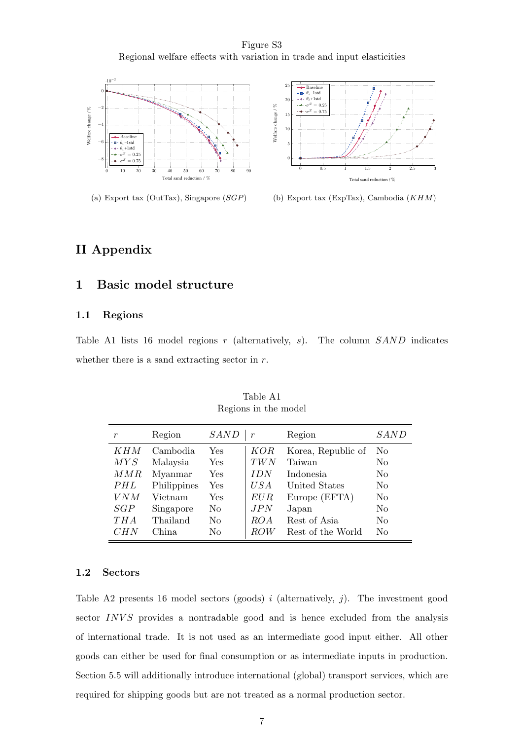Figure S3 Regional welfare effects with variation in trade and input elasticities





(a) Export tax (OutTax), Singapore (SGP)

(b) Export tax (ExpTax), Cambodia (KHM)

## II Appendix

## 1 Basic model structure

## 1.1 Regions

Table A1 lists 16 model regions  $r$  (alternatively,  $s$ ). The column  $SAND$  indicates whether there is a sand extracting sector in  $r$ .

| r          | Region      | <b>SAND</b> | $\boldsymbol{r}$ | Region             | SAND           |
|------------|-------------|-------------|------------------|--------------------|----------------|
| <i>KHM</i> | Cambodia    | Yes         | <b>KOR</b>       | Korea, Republic of | N <sub>o</sub> |
| MYS        | Malaysia    | Yes         | TWN              | Taiwan             | No             |
| MMR        | Myanmar     | Yes         | <i>IDN</i>       | Indonesia          | N <sub>0</sub> |
| PHL        | Philippines | Yes         | U S A            | United States      | No             |
| VNM        | Vietnam     | Yes         | EUR              | Europe (EFTA)      | No             |
| SGP        | Singapore   | No          | JPN              | Japan              | No             |
| THA        | Thailand    | No          | ROA              | Rest of Asia       | No             |
| CHN        | China       | No          | ROW              | Rest of the World  | No             |

Table A1 Regions in the model

## 1.2 Sectors

Table A2 presents 16 model sectors (goods)  $i$  (alternatively,  $j$ ). The investment good sector INVS provides a nontradable good and is hence excluded from the analysis of international trade. It is not used as an intermediate good input either. All other goods can either be used for final consumption or as intermediate inputs in production. Section 5.5 will additionally introduce international (global) transport services, which are required for shipping goods but are not treated as a normal production sector.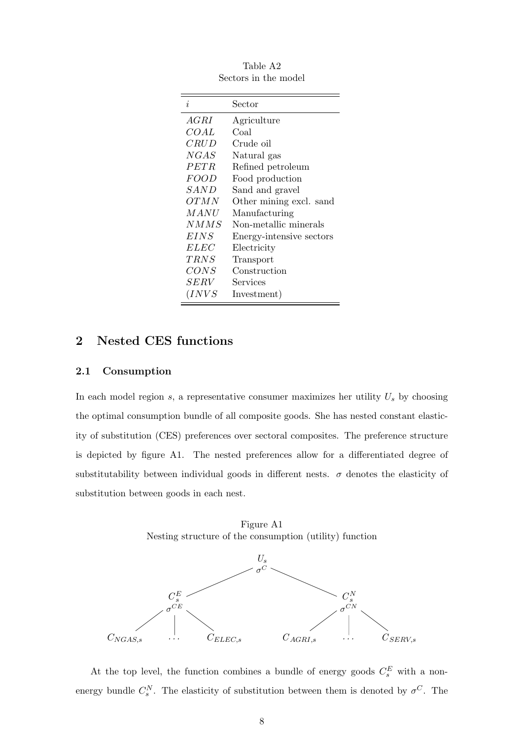| Sector                   |
|--------------------------|
| Agriculture              |
| Coal                     |
| Crude oil                |
| Natural gas              |
| Refined petroleum        |
| Food production          |
| Sand and gravel          |
| Other mining excl. sand  |
| Manufacturing            |
| Non-metallic minerals    |
| Energy-intensive sectors |
| Electricity              |
| Transport                |
| Construction             |
| Services                 |
| Investment)              |
|                          |

Table A2 Sectors in the model

## 2 Nested CES functions

## 2.1 Consumption

In each model region  $s$ , a representative consumer maximizes her utility  $U_s$  by choosing the optimal consumption bundle of all composite goods. She has nested constant elasticity of substitution (CES) preferences over sectoral composites. The preference structure is depicted by figure A1. The nested preferences allow for a differentiated degree of substitutability between individual goods in different nests.  $\sigma$  denotes the elasticity of substitution between goods in each nest.

Figure A1 Nesting structure of the consumption (utility) function



At the top level, the function combines a bundle of energy goods  $C_s^E$  with a nonenergy bundle  $C_s^N$ . The elasticity of substitution between them is denoted by  $\sigma^C$ . The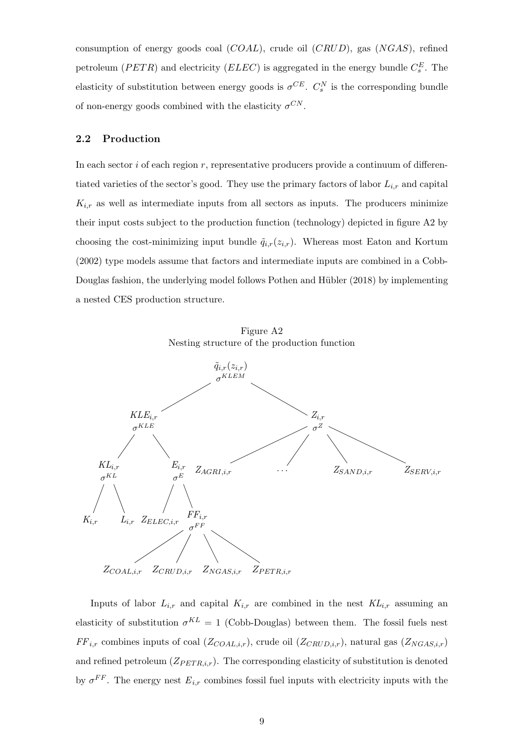consumption of energy goods coal  $(COAL)$ , crude oil  $(CRUD)$ , gas  $(NGAS)$ , refined petroleum ( $PETR$ ) and electricity ( $ELEC$ ) is aggregated in the energy bundle  $C_s^E$ . The elasticity of substitution between energy goods is  $\sigma^{CE}$ .  $C_s^N$  is the corresponding bundle of non-energy goods combined with the elasticity  $\sigma^{CN}$ .

## 2.2 Production

In each sector  $i$  of each region  $r$ , representative producers provide a continuum of differentiated varieties of the sector's good. They use the primary factors of labor  $L_{i,r}$  and capital  $K_{i,r}$  as well as intermediate inputs from all sectors as inputs. The producers minimize their input costs subject to the production function (technology) depicted in figure A2 by choosing the cost-minimizing input bundle  $\tilde{q}_{i,r}(z_{i,r})$ . Whereas most Eaton and Kortum (2002) type models assume that factors and intermediate inputs are combined in a Cobb-Douglas fashion, the underlying model follows Pothen and Hübler (2018) by implementing a nested CES production structure.





Inputs of labor  $L_{i,r}$  and capital  $K_{i,r}$  are combined in the nest  $KL_{i,r}$  assuming an elasticity of substitution  $\sigma^{KL} = 1$  (Cobb-Douglas) between them. The fossil fuels nest  $FF_{i,r}$  combines inputs of coal  $(Z_{COAL,i,r})$ , crude oil  $(Z_{CRUD,i,r})$ , natural gas  $(Z_{NGAS,i,r})$ and refined petroleum  $(Z_{PET R,i,r})$ . The corresponding elasticity of substitution is denoted by  $\sigma^{FF}$ . The energy nest  $E_{i,r}$  combines fossil fuel inputs with electricity inputs with the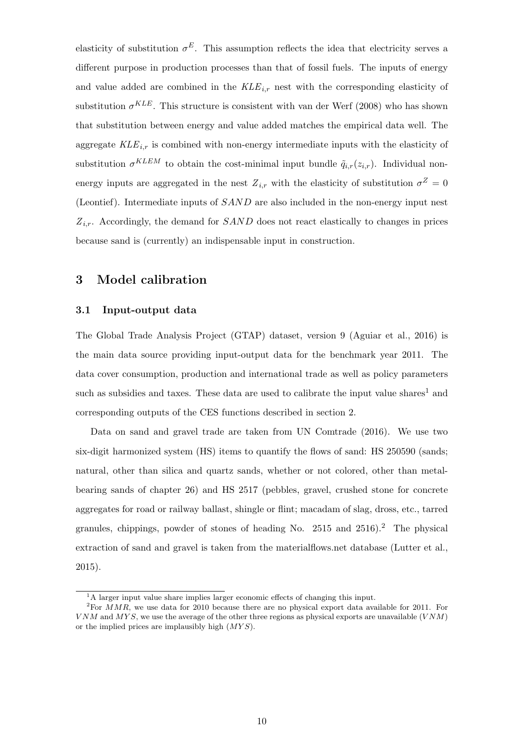elasticity of substitution  $\sigma^E$ . This assumption reflects the idea that electricity serves a different purpose in production processes than that of fossil fuels. The inputs of energy and value added are combined in the  $KLE_{i,r}$  nest with the corresponding elasticity of substitution  $\sigma^{KLE}$ . This structure is consistent with van der Werf (2008) who has shown that substitution between energy and value added matches the empirical data well. The aggregate  $KLE_{i,r}$  is combined with non-energy intermediate inputs with the elasticity of substitution  $\sigma^{KLEM}$  to obtain the cost-minimal input bundle  $\tilde{q}_{i,r}(z_{i,r})$ . Individual nonenergy inputs are aggregated in the nest  $Z_{i,r}$  with the elasticity of substitution  $\sigma^Z = 0$ (Leontief). Intermediate inputs of SAND are also included in the non-energy input nest  $Z_{i,r}$ . Accordingly, the demand for  $SAND$  does not react elastically to changes in prices because sand is (currently) an indispensable input in construction.

## 3 Model calibration

## 3.1 Input-output data

The Global Trade Analysis Project (GTAP) dataset, version 9 (Aguiar et al., 2016) is the main data source providing input-output data for the benchmark year 2011. The data cover consumption, production and international trade as well as policy parameters such as subsidies and taxes. These data are used to calibrate the input value shares<sup>1</sup> and corresponding outputs of the CES functions described in section 2.

Data on sand and gravel trade are taken from UN Comtrade (2016). We use two six-digit harmonized system (HS) items to quantify the flows of sand: HS 250590 (sands; natural, other than silica and quartz sands, whether or not colored, other than metalbearing sands of chapter 26) and HS 2517 (pebbles, gravel, crushed stone for concrete aggregates for road or railway ballast, shingle or flint; macadam of slag, dross, etc., tarred granules, chippings, powder of stones of heading No.  $2515$  and  $2516$ ).<sup>2</sup> The physical extraction of sand and gravel is taken from the materialflows.net database (Lutter et al., 2015).

<sup>&</sup>lt;sup>1</sup>A larger input value share implies larger economic effects of changing this input.

<sup>&</sup>lt;sup>2</sup>For  $MMR$ , we use data for 2010 because there are no physical export data available for 2011. For  $VNM$  and  $MYS$ , we use the average of the other three regions as physical exports are unavailable  $(VNM)$ or the implied prices are implausibly high  $(MYS)$ .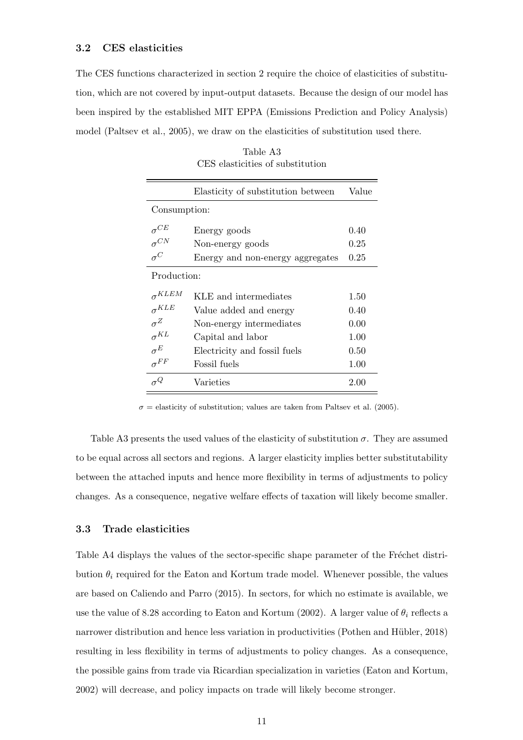The CES functions characterized in section 2 require the choice of elasticities of substitution, which are not covered by input-output datasets. Because the design of our model has been inspired by the established MIT EPPA (Emissions Prediction and Policy Analysis) model (Paltsev et al., 2005), we draw on the elasticities of substitution used there.

|                 | Elasticity of substitution between | Value |  |  |  |
|-----------------|------------------------------------|-------|--|--|--|
| Consumption:    |                                    |       |  |  |  |
| $\sigma^{CE}$   | Energy goods                       | 0.40  |  |  |  |
| $\sigma^{CN}$   | Non-energy goods                   | 0.25  |  |  |  |
| $\sigma^C$      | Energy and non-energy aggregates   | 0.25  |  |  |  |
| Production:     |                                    |       |  |  |  |
| $\sigma^{KLEM}$ | KLE and intermediates              | 1.50  |  |  |  |
| $\sigma^{KLE}$  | Value added and energy             | 0.40  |  |  |  |
| $\sigma^Z$      | Non-energy intermediates           | 0.00  |  |  |  |
| $\sigma^{KL}$   | Capital and labor                  | 1.00  |  |  |  |
| $\sigma^E$      | Electricity and fossil fuels       | 0.50  |  |  |  |
| $\sigma^{FF}$   | Fossil fuels                       | 1.00  |  |  |  |
| $\sigma^Q$      | Varieties                          | 2.00  |  |  |  |

Table A3 CES elasticities of substitution

 $\sigma$  = elasticity of substitution; values are taken from Paltsev et al. (2005).

Table A3 presents the used values of the elasticity of substitution  $\sigma$ . They are assumed to be equal across all sectors and regions. A larger elasticity implies better substitutability between the attached inputs and hence more flexibility in terms of adjustments to policy changes. As a consequence, negative welfare effects of taxation will likely become smaller.

## 3.3 Trade elasticities

Table A4 displays the values of the sector-specific shape parameter of the Fréchet distribution  $\theta_i$  required for the Eaton and Kortum trade model. Whenever possible, the values are based on Caliendo and Parro (2015). In sectors, for which no estimate is available, we use the value of 8.28 according to Eaton and Kortum (2002). A larger value of  $\theta_i$  reflects a narrower distribution and hence less variation in productivities (Pothen and Hübler, 2018) resulting in less flexibility in terms of adjustments to policy changes. As a consequence, the possible gains from trade via Ricardian specialization in varieties (Eaton and Kortum, 2002) will decrease, and policy impacts on trade will likely become stronger.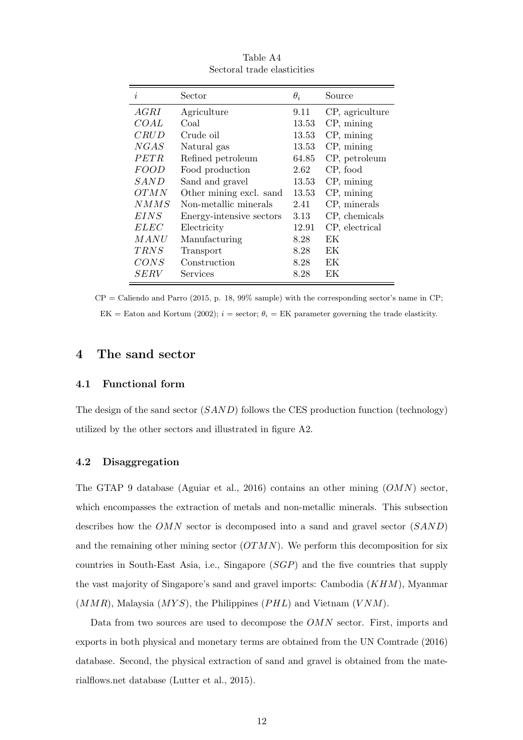| i           | Sector                   | $\theta_i$ | Source          |
|-------------|--------------------------|------------|-----------------|
| AGRI        | Agriculture              | 9.11       | CP, agriculture |
| COAL        | Coal                     | 13.53      | $CP$ , mining   |
| CRUD        | Crude oil                | 13.53      | $CP$ , mining   |
| NGAS        | Natural gas              | 13.53      | $CP$ , mining   |
| <i>PETR</i> | Refined petroleum        | 64.85      | CP, petroleum   |
| <b>FOOD</b> | Food production          | 2.62       | CP, food        |
| SAND        | Sand and gravel          | 13.53      | $CP$ , mining   |
| <i>OTMN</i> | Other mining excl. sand  | 13.53      | $CP$ , mining   |
| NMMS        | Non-metallic minerals    | 2.41       | CP, minerals    |
| EINS        | Energy-intensive sectors | 3.13       | CP, chemicals   |
| <i>ELEC</i> | Electricity              | 12.91      | CP, electrical  |
| MANU        | Manufacturing            | 8.28       | ЕK              |
| <i>TRNS</i> | Transport                | 8.28       | EК              |
| CONS        | Construction             | 8.28       | ЕK              |
| <b>SERV</b> | Services                 | 8.28       | EК              |

Table A4 Sectoral trade elasticities

 $CP =$  Caliendo and Parro (2015, p. 18, 99% sample) with the corresponding sector's name in CP; EK = Eaton and Kortum (2002);  $i =$  sector;  $\theta_i =$  EK parameter governing the trade elasticity.

## 4 The sand sector

## 4.1 Functional form

The design of the sand sector  $(SAND)$  follows the CES production function (technology) utilized by the other sectors and illustrated in figure A2.

## 4.2 Disaggregation

The GTAP 9 database (Aguiar et al., 2016) contains an other mining  $(OMN)$  sector, which encompasses the extraction of metals and non-metallic minerals. This subsection describes how the OMN sector is decomposed into a sand and gravel sector (SAND) and the remaining other mining sector  $(OTMN)$ . We perform this decomposition for six countries in South-East Asia, i.e., Singapore (SGP) and the five countries that supply the vast majority of Singapore's sand and gravel imports: Cambodia (KHM), Myanmar  $(MMR)$ , Malaysia  $(MYS)$ , the Philippines  $(PHL)$  and Vietnam  $(VNM)$ .

Data from two sources are used to decompose the OMN sector. First, imports and exports in both physical and monetary terms are obtained from the UN Comtrade (2016) database. Second, the physical extraction of sand and gravel is obtained from the materialflows.net database (Lutter et al., 2015).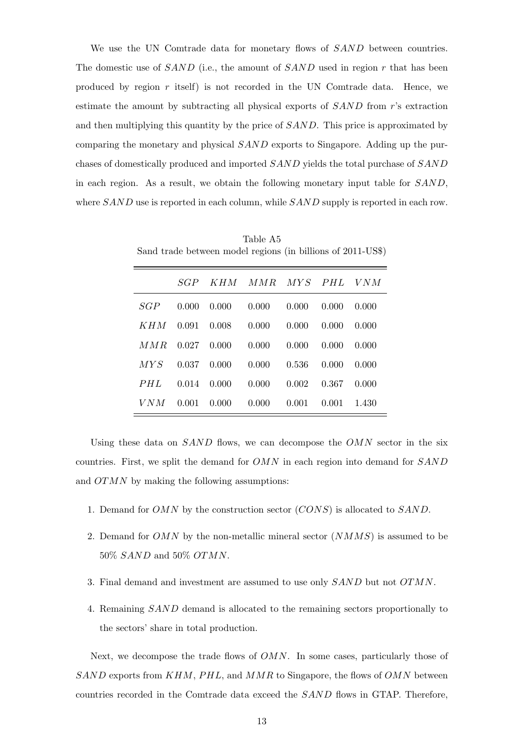We use the UN Comtrade data for monetary flows of SAND between countries. The domestic use of  $SAND$  (i.e., the amount of  $SAND$  used in region r that has been produced by region  $r$  itself) is not recorded in the UN Comtrade data. Hence, we estimate the amount by subtracting all physical exports of SAND from r's extraction and then multiplying this quantity by the price of SAND. This price is approximated by comparing the monetary and physical SAND exports to Singapore. Adding up the purchases of domestically produced and imported SAND yields the total purchase of SAND in each region. As a result, we obtain the following monetary input table for SAND, where SAND use is reported in each column, while SAND supply is reported in each row.

|  | SGP KHM MMR MYS PHL VNM                        |  |  |
|--|------------------------------------------------|--|--|
|  | $SGP$ 0.000 0.000 0.000 0.000 0.000 0.000      |  |  |
|  | $KHM$ 0.091 0.008 0.000 0.000 0.000 0.000      |  |  |
|  | $MMR$ 0.027 0.000 0.000 0.000 0.000 0.000      |  |  |
|  | $MYS$ 0.037 0.000 0.000 0.536 0.000 0.000      |  |  |
|  | <i>PHL</i> 0.014 0.000 0.000 0.002 0.367 0.000 |  |  |
|  | $VNM$ 0.001 0.000 0.000 0.001 0.001 1.430      |  |  |

Table A5 Sand trade between model regions (in billions of 2011-US\$)

Using these data on  $SAND$  flows, we can decompose the  $OMN$  sector in the six countries. First, we split the demand for OMN in each region into demand for SAND and OTMN by making the following assumptions:

- 1. Demand for OMN by the construction sector (CONS) is allocated to SAND.
- 2. Demand for OMN by the non-metallic mineral sector  $(NMMS)$  is assumed to be 50% SAND and 50% OTMN.
- 3. Final demand and investment are assumed to use only SAND but not OTMN.
- 4. Remaining SAND demand is allocated to the remaining sectors proportionally to the sectors' share in total production.

Next, we decompose the trade flows of *OMN*. In some cases, particularly those of  $SAND$  exports from  $KHM$ ,  $PHL$ , and  $MMR$  to Singapore, the flows of  $OMN$  between countries recorded in the Comtrade data exceed the SAND flows in GTAP. Therefore,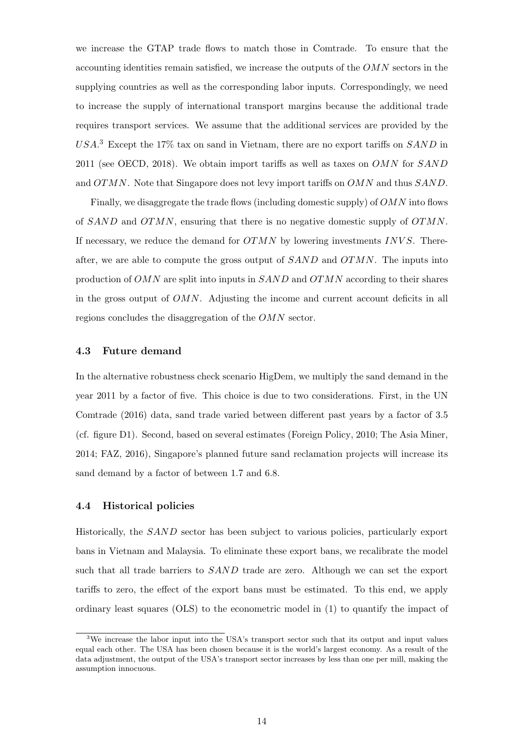we increase the GTAP trade flows to match those in Comtrade. To ensure that the accounting identities remain satisfied, we increase the outputs of the OMN sectors in the supplying countries as well as the corresponding labor inputs. Correspondingly, we need to increase the supply of international transport margins because the additional trade requires transport services. We assume that the additional services are provided by the  $USA$ <sup>3</sup> Except the 17% tax on sand in Vietnam, there are no export tariffs on  $SAND$  in 2011 (see OECD, 2018). We obtain import tariffs as well as taxes on  $OMN$  for  $SAND$ and OTMN. Note that Singapore does not levy import tariffs on OMN and thus SAND.

Finally, we disaggregate the trade flows (including domestic supply) of  $OMN$  into flows of SAND and OTMN, ensuring that there is no negative domestic supply of OTMN. If necessary, we reduce the demand for  $OTMN$  by lowering investments INVS. Thereafter, we are able to compute the gross output of  $SAND$  and  $OTMN$ . The inputs into production of  $OMN$  are split into inputs in  $SAND$  and  $OTMN$  according to their shares in the gross output of OMN. Adjusting the income and current account deficits in all regions concludes the disaggregation of the OMN sector.

## 4.3 Future demand

In the alternative robustness check scenario HigDem, we multiply the sand demand in the year 2011 by a factor of five. This choice is due to two considerations. First, in the UN Comtrade (2016) data, sand trade varied between different past years by a factor of 3.5 (cf. figure D1). Second, based on several estimates (Foreign Policy, 2010; The Asia Miner, 2014; FAZ, 2016), Singapore's planned future sand reclamation projects will increase its sand demand by a factor of between 1.7 and 6.8.

## 4.4 Historical policies

Historically, the SAND sector has been subject to various policies, particularly export bans in Vietnam and Malaysia. To eliminate these export bans, we recalibrate the model such that all trade barriers to SAND trade are zero. Although we can set the export tariffs to zero, the effect of the export bans must be estimated. To this end, we apply ordinary least squares (OLS) to the econometric model in (1) to quantify the impact of

<sup>&</sup>lt;sup>3</sup>We increase the labor input into the USA's transport sector such that its output and input values equal each other. The USA has been chosen because it is the world's largest economy. As a result of the data adjustment, the output of the USA's transport sector increases by less than one per mill, making the assumption innocuous.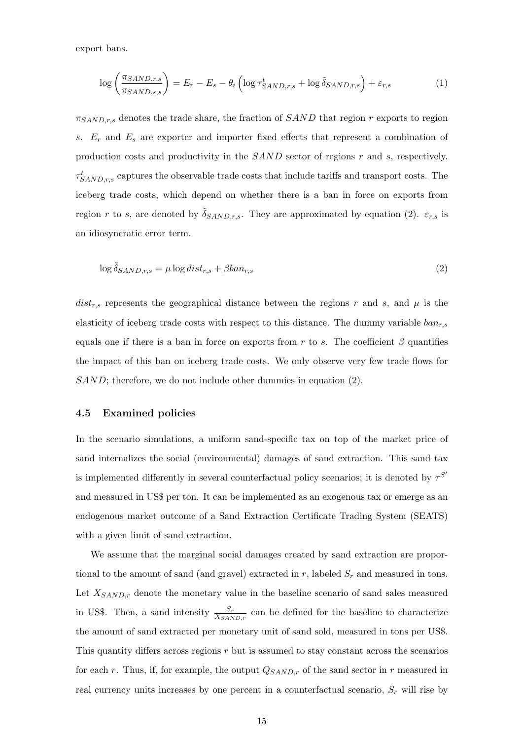export bans.

$$
\log\left(\frac{\pi_{SAND,r,s}}{\pi_{SAND,s,s}}\right) = E_r - E_s - \theta_i \left( \log \tau_{SAND,r,s}^t + \log \tilde{\delta}_{SAND,r,s} \right) + \varepsilon_{r,s}
$$
(1)

 $\pi_{SAND,r,s}$  denotes the trade share, the fraction of  $SAND$  that region r exports to region s.  $E_r$  and  $E_s$  are exporter and importer fixed effects that represent a combination of production costs and productivity in the SAND sector of regions r and s, respectively.  $\tau_{SAND,r,s}^{t}$  captures the observable trade costs that include tariffs and transport costs. The iceberg trade costs, which depend on whether there is a ban in force on exports from region r to s, are denoted by  $\delta_{SAND,r,s}$ . They are approximated by equation (2).  $\varepsilon_{r,s}$  is an idiosyncratic error term.

$$
\log \tilde{\delta}_{SAND,r,s} = \mu \log dist_{r,s} + \beta ban_{r,s} \tag{2}
$$

 $dist_{r,s}$  represents the geographical distance between the regions r and s, and  $\mu$  is the elasticity of iceberg trade costs with respect to this distance. The dummy variable  $ban_{r,s}$ equals one if there is a ban in force on exports from r to s. The coefficient  $\beta$  quantifies the impact of this ban on iceberg trade costs. We only observe very few trade flows for SAND; therefore, we do not include other dummies in equation (2).

#### 4.5 Examined policies

In the scenario simulations, a uniform sand-specific tax on top of the market price of sand internalizes the social (environmental) damages of sand extraction. This sand tax is implemented differently in several counterfactual policy scenarios; it is denoted by  $\tau^{S'}$ and measured in US\$ per ton. It can be implemented as an exogenous tax or emerge as an endogenous market outcome of a Sand Extraction Certificate Trading System (SEATS) with a given limit of sand extraction.

We assume that the marginal social damages created by sand extraction are proportional to the amount of sand (and gravel) extracted in r, labeled  $S_r$  and measured in tons. Let  $X_{SAND,r}$  denote the monetary value in the baseline scenario of sand sales measured in US\$. Then, a sand intensity  $\frac{S_r}{X_{SAND,r}}$  can be defined for the baseline to characterize the amount of sand extracted per monetary unit of sand sold, measured in tons per US\$. This quantity differs across regions r but is assumed to stay constant across the scenarios for each r. Thus, if, for example, the output  $Q_{SAND,r}$  of the sand sector in r measured in real currency units increases by one percent in a counterfactual scenario,  $S_r$  will rise by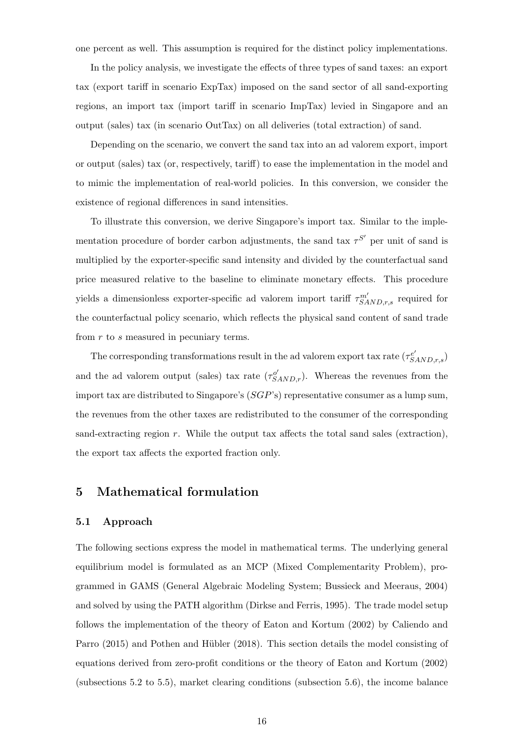one percent as well. This assumption is required for the distinct policy implementations.

In the policy analysis, we investigate the effects of three types of sand taxes: an export tax (export tariff in scenario ExpTax) imposed on the sand sector of all sand-exporting regions, an import tax (import tariff in scenario ImpTax) levied in Singapore and an output (sales) tax (in scenario OutTax) on all deliveries (total extraction) of sand.

Depending on the scenario, we convert the sand tax into an ad valorem export, import or output (sales) tax (or, respectively, tariff) to ease the implementation in the model and to mimic the implementation of real-world policies. In this conversion, we consider the existence of regional differences in sand intensities.

To illustrate this conversion, we derive Singapore's import tax. Similar to the implementation procedure of border carbon adjustments, the sand tax  $\tau^{S'}$  per unit of sand is multiplied by the exporter-specific sand intensity and divided by the counterfactual sand price measured relative to the baseline to eliminate monetary effects. This procedure yields a dimensionless exporter-specific ad valorem import tariff  $\tau_{SAND,r,s}^{m'}$  required for the counterfactual policy scenario, which reflects the physical sand content of sand trade from r to s measured in pecuniary terms.

The corresponding transformations result in the ad valorem export tax rate  $(\tau_{SAND,r,s}^{e'})$ and the ad valorem output (sales) tax rate  $(\tau_{SAND,r}^{\mathcal{O}'})$ . Whereas the revenues from the import tax are distributed to Singapore's  $(SGP's)$  representative consumer as a lump sum, the revenues from the other taxes are redistributed to the consumer of the corresponding sand-extracting region  $r$ . While the output tax affects the total sand sales (extraction), the export tax affects the exported fraction only.

## 5 Mathematical formulation

## 5.1 Approach

The following sections express the model in mathematical terms. The underlying general equilibrium model is formulated as an MCP (Mixed Complementarity Problem), programmed in GAMS (General Algebraic Modeling System; Bussieck and Meeraus, 2004) and solved by using the PATH algorithm (Dirkse and Ferris, 1995). The trade model setup follows the implementation of the theory of Eaton and Kortum (2002) by Caliendo and Parro (2015) and Pothen and Hübler (2018). This section details the model consisting of equations derived from zero-profit conditions or the theory of Eaton and Kortum (2002) (subsections 5.2 to 5.5), market clearing conditions (subsection 5.6), the income balance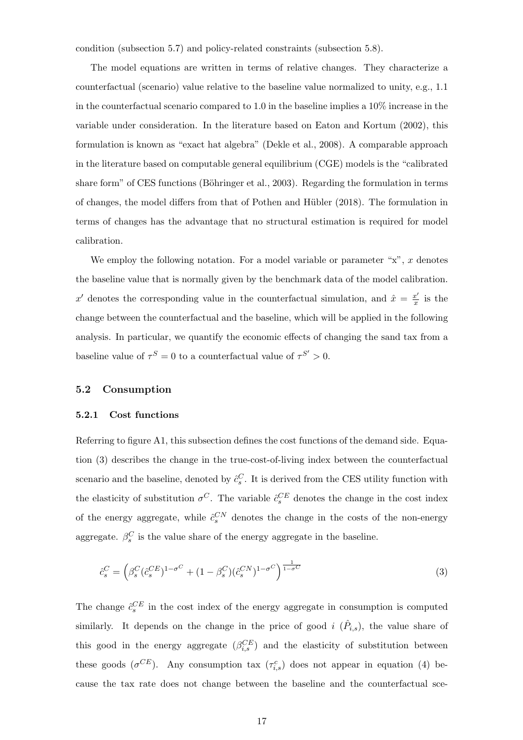condition (subsection 5.7) and policy-related constraints (subsection 5.8).

The model equations are written in terms of relative changes. They characterize a counterfactual (scenario) value relative to the baseline value normalized to unity, e.g., 1.1 in the counterfactual scenario compared to 1.0 in the baseline implies a 10% increase in the variable under consideration. In the literature based on Eaton and Kortum (2002), this formulation is known as "exact hat algebra" (Dekle et al., 2008). A comparable approach in the literature based on computable general equilibrium (CGE) models is the "calibrated share form" of CES functions (Böhringer et al., 2003). Regarding the formulation in terms of changes, the model differs from that of Pothen and Hübler (2018). The formulation in terms of changes has the advantage that no structural estimation is required for model calibration.

We employ the following notation. For a model variable or parameter " $x$ ",  $x$  denotes the baseline value that is normally given by the benchmark data of the model calibration. x' denotes the corresponding value in the counterfactual simulation, and  $\hat{x} = \frac{x'}{x}$  $\frac{x}{x}$  is the change between the counterfactual and the baseline, which will be applied in the following analysis. In particular, we quantify the economic effects of changing the sand tax from a baseline value of  $\tau^S = 0$  to a counterfactual value of  $\tau^{S'} > 0$ .

## 5.2 Consumption

## 5.2.1 Cost functions

Referring to figure A1, this subsection defines the cost functions of the demand side. Equation (3) describes the change in the true-cost-of-living index between the counterfactual scenario and the baseline, denoted by  $\hat{c}_s^C$ . It is derived from the CES utility function with the elasticity of substitution  $\sigma^C$ . The variable  $\hat{c}_s^{CE}$  denotes the change in the cost index of the energy aggregate, while  $\hat{c}_s^{CN}$  denotes the change in the costs of the non-energy aggregate.  $\beta_s^C$  is the value share of the energy aggregate in the baseline.

$$
\hat{c}_s^C = \left(\beta_s^C (\hat{c}_s^{CE})^{1-\sigma^C} + (1-\beta_s^C)(\hat{c}_s^{CN})^{1-\sigma^C}\right)^{\frac{1}{1-\sigma^C}}
$$
(3)

The change  $\hat{c}_s^{CE}$  in the cost index of the energy aggregate in consumption is computed similarly. It depends on the change in the price of good i  $(\hat{P}_{i,s})$ , the value share of this good in the energy aggregate  $(\beta_{i,s}^{CE})$  and the elasticity of substitution between these goods  $(\sigma^{CE})$ . Any consumption tax  $(\tau_{i,s}^c)$  does not appear in equation (4) because the tax rate does not change between the baseline and the counterfactual sce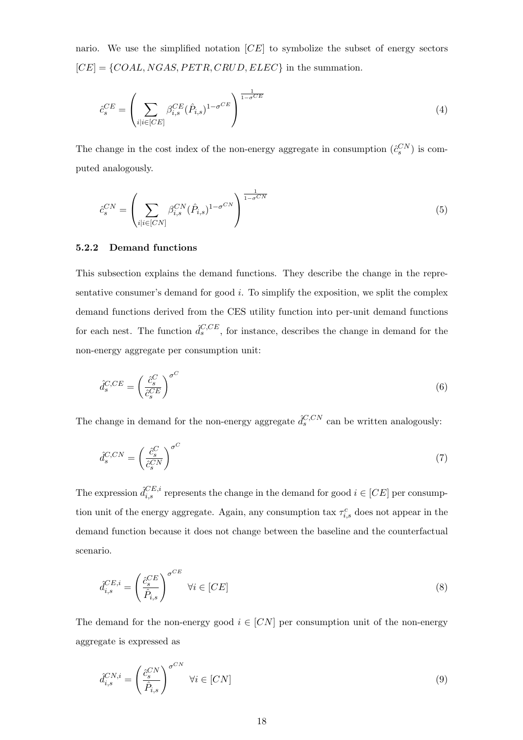nario. We use the simplified notation  $[CE]$  to symbolize the subset of energy sectors  $[CE] = \{COAL, NGAS, PETR, CRUD, ELEC\}$  in the summation.

$$
\hat{c}_s^{CE} = \left(\sum_{i|i \in [CE]} \beta_{i,s}^{CE} (\hat{P}_{i,s})^{1-\sigma^{CE}}\right)^{\frac{1}{1-\sigma^{CE}}} \tag{4}
$$

The change in the cost index of the non-energy aggregate in consumption  $(\hat{c}_s^{CN})$  is computed analogously.

$$
\hat{c}_s^{CN} = \left(\sum_{i|i \in [CN]} \beta_{i,s}^{CN} (\hat{P}_{i,s})^{1-\sigma^{CN}}\right)^{\frac{1}{1-\sigma^{CN}}} \tag{5}
$$

## 5.2.2 Demand functions

This subsection explains the demand functions. They describe the change in the representative consumer's demand for good  $i$ . To simplify the exposition, we split the complex demand functions derived from the CES utility function into per-unit demand functions for each nest. The function  $\hat{d}_{s}^{C,CE}$ , for instance, describes the change in demand for the non-energy aggregate per consumption unit:

$$
\hat{d}_s^{C,CE} = \left(\frac{\hat{c}_s^C}{\hat{c}_s^{CE}}\right)^{\sigma^C} \tag{6}
$$

The change in demand for the non-energy aggregate  $\hat{d}_{s}^{C, CN}$  can be written analogously:

$$
\hat{d}_s^{C, CN} = \left(\frac{\hat{c}_s^C}{\hat{c}_s^{CN}}\right)^{\sigma^C} \tag{7}
$$

The expression  $\hat{d}_{i,s}^{CE,i}$  represents the change in the demand for good  $i \in [CE]$  per consumption unit of the energy aggregate. Again, any consumption tax  $\tau_{i,s}^c$  does not appear in the demand function because it does not change between the baseline and the counterfactual scenario.

$$
\hat{d}_{i,s}^{CE,i} = \left(\frac{\hat{c}_s^{CE}}{\hat{P}_{i,s}}\right)^{\sigma^{CE}} \quad \forall i \in [CE]
$$
\n
$$
(8)
$$

The demand for the non-energy good  $i \in [CN]$  per consumption unit of the non-energy aggregate is expressed as

$$
\hat{d}_{i,s}^{CN,i} = \left(\frac{\hat{c}_s^{CN}}{\hat{P}_{i,s}}\right)^{\sigma^{CN}} \quad \forall i \in [CN]
$$
\n(9)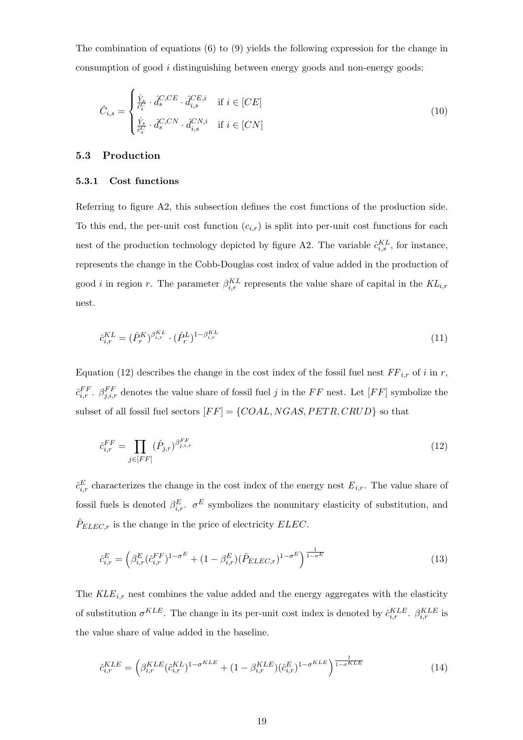The combination of equations (6) to (9) yields the following expression for the change in consumption of good i distinguishing between energy goods and non-energy goods:

$$
\hat{C}_{i,s} = \begin{cases} \frac{\hat{Y}_s}{\hat{c}_s^C} \cdot \hat{d}_s^{C,CE} \cdot \hat{d}_{i,s}^{CE,i} & \text{if } i \in [CE] \\ \frac{\hat{Y}_s}{\hat{c}_s^C} \cdot \hat{d}_s^{C,CN} \cdot \hat{d}_{i,s}^{CN,i} & \text{if } i \in [CN] \end{cases}
$$
\n(10)

## 5.3 Production

## 5.3.1 Cost functions

Referring to figure A2, this subsection defines the cost functions of the production side. To this end, the per-unit cost function  $(c_{i,r})$  is split into per-unit cost functions for each nest of the production technology depicted by figure A2. The variable  $\hat{c}_{i,s}^{KL}$ , for instance, represents the change in the Cobb-Douglas cost index of value added in the production of good *i* in region r. The parameter  $\beta_{i,r}^{KL}$  represents the value share of capital in the  $KL_{i,r}$ nest.

$$
\hat{c}_{i,r}^{KL} = (\hat{P}_r^{K})^{\beta_{i,r}^{KL}} \cdot (\hat{P}_r^{L})^{1-\beta_{i,r}^{KL}} \tag{11}
$$

Equation (12) describes the change in the cost index of the fossil fuel nest  $FF_{i,r}$  of i in r,  $\hat{c}_{i,r}^{FF}$ .  $\beta_{j,i,r}^{FF}$  denotes the value share of fossil fuel j in the FF nest. Let [FF] symbolize the subset of all fossil fuel sectors  $[FF] = \{COAL, NGAS, PETR, CRUD\}$  so that

$$
\hat{c}_{i,r}^{FF} = \prod_{j \in [FF]} (\hat{P}_{j,r})^{\beta_{j,i,r}^{FF}} \tag{12}
$$

 $\hat{c}_{i,r}^E$  characterizes the change in the cost index of the energy nest  $E_{i,r}$ . The value share of fossil fuels is denoted  $\beta_{i,r}^E$ .  $\sigma^E$  symbolizes the nonunitary elasticity of substitution, and  $\hat{P}_{ELEC,r}$  is the change in the price of electricity  $ELEC$ .

$$
\hat{c}_{i,r}^{E} = \left(\beta_{i,r}^{E} (\hat{c}_{i,r}^{FF})^{1-\sigma^{E}} + (1-\beta_{i,r}^{E}) (\hat{P}_{ELEC,r})^{1-\sigma^{E}}\right)^{\frac{1}{1-\sigma^{E}}} \tag{13}
$$

The  $KLE_{i,r}$  nest combines the value added and the energy aggregates with the elasticity of substitution  $\sigma^{KLE}$ . The change in its per-unit cost index is denoted by  $\hat{c}_{i,r}^{KLE}$ .  $\beta_{i,r}^{KLE}$  is the value share of value added in the baseline.

$$
\hat{c}_{i,r}^{KLE} = \left(\beta_{i,r}^{KLE} (\hat{c}_{i,r}^{KLE})^{1-\sigma^{KLE}} + (1-\beta_{i,r}^{KLE}) (\hat{c}_{i,r}^{E})^{1-\sigma^{KLE}}\right)^{\frac{1}{1-\sigma^{KLE}}} \tag{14}
$$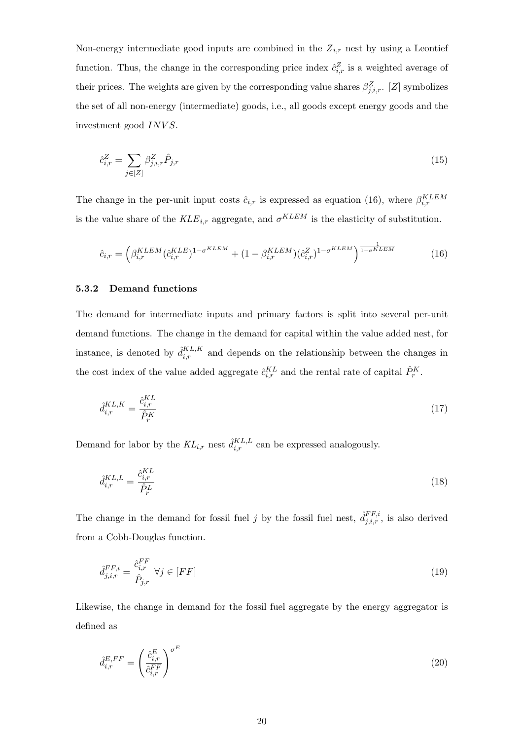Non-energy intermediate good inputs are combined in the  $Z_{i,r}$  nest by using a Leontief function. Thus, the change in the corresponding price index  $\hat{c}_{i,r}^Z$  is a weighted average of their prices. The weights are given by the corresponding value shares  $\beta_{j,i,r}^Z$ . [Z] symbolizes the set of all non-energy (intermediate) goods, i.e., all goods except energy goods and the investment good INVS.

$$
\hat{c}_{i,r}^Z = \sum_{j \in [Z]} \beta_{j,i,r}^Z \hat{P}_{j,r} \tag{15}
$$

The change in the per-unit input costs  $\hat{c}_{i,r}$  is expressed as equation (16), where  $\beta_{i,r}^{KLEM}$ is the value share of the  $KLE_{i,r}$  aggregate, and  $\sigma^{KLEM}$  is the elasticity of substitution.

$$
\hat{c}_{i,r} = \left(\beta_{i,r}^{KLEM}(\hat{c}_{i,r}^{KLE})^{1-\sigma^{KLEM}} + (1-\beta_{i,r}^{KLEM})(\hat{c}_{i,r}^{Z})^{1-\sigma^{KLEM}}\right)^{\frac{1}{1-\sigma^{KLEM}}} \tag{16}
$$

## 5.3.2 Demand functions

The demand for intermediate inputs and primary factors is split into several per-unit demand functions. The change in the demand for capital within the value added nest, for instance, is denoted by  $\hat{d}_{i,r}^{KL,K}$  and depends on the relationship between the changes in the cost index of the value added aggregate  $\hat{c}^{KL}_{i,r}$  and the rental rate of capital  $\hat{P}^K_r$ .

$$
\hat{d}_{i,r}^{KL,K} = \frac{\hat{c}_{i,r}^{KL}}{\hat{P}_r^K} \tag{17}
$$

Demand for labor by the  $KL_{i,r}$  nest  $\hat{d}_{i,r}^{KL,L}$  can be expressed analogously.

$$
\hat{d}_{i,r}^{KL,L} = \frac{\hat{c}_{i,r}^{KL}}{\hat{P}_r^L} \tag{18}
$$

The change in the demand for fossil fuel j by the fossil fuel nest,  $\hat{d}_{j,i,r}^{FF,i}$ , is also derived from a Cobb-Douglas function.

$$
\hat{d}_{j,i,r}^{FF,i} = \frac{\hat{c}_{i,r}^{FF}}{\hat{P}_{j,r}} \ \forall j \in [FF] \tag{19}
$$

Likewise, the change in demand for the fossil fuel aggregate by the energy aggregator is defined as

$$
\hat{d}_{i,r}^{E,FF} = \left(\frac{\hat{c}_{i,r}^E}{\hat{c}_{i,r}^{FF}}\right)^{\sigma^E} \tag{20}
$$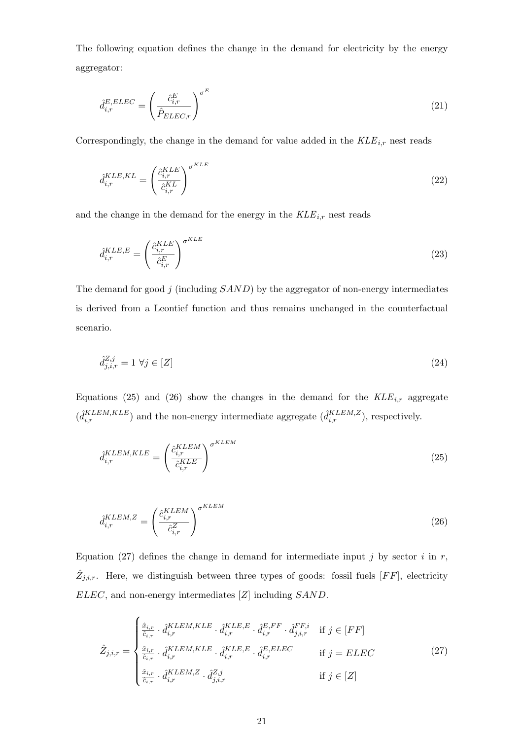The following equation defines the change in the demand for electricity by the energy aggregator:

$$
\hat{d}_{i,r}^{E, ELLC} = \left(\frac{\hat{c}_{i,r}^E}{\hat{P}_{ELLC,r}}\right)^{\sigma^E} \tag{21}
$$

Correspondingly, the change in the demand for value added in the  $KLE_{i,r}$  nest reads

$$
\hat{d}_{i,r}^{KLE,KL} = \left(\frac{\hat{c}_{i,r}^{KLE}}{\hat{c}_{i,r}^{KL}}\right)^{\sigma^{KLE}}\tag{22}
$$

and the change in the demand for the energy in the  $KLE_{i,r}$  nest reads

$$
\hat{d}_{i,r}^{KLE,E} = \left(\frac{\hat{c}_{i,r}^{KLE}}{\hat{c}_{i,r}^E}\right)^{\sigma^{KLE}}
$$
\n(23)

The demand for good  $j$  (including  $SAND$ ) by the aggregator of non-energy intermediates is derived from a Leontief function and thus remains unchanged in the counterfactual scenario.

$$
\hat{d}_{j,i,r}^{Z,j} = 1 \,\forall j \in [Z] \tag{24}
$$

Equations (25) and (26) show the changes in the demand for the  $KLE_{i,r}$  aggregate  $(\hat{d}_{i,r}^{KLEM,KLE})$  and the non-energy intermediate aggregate  $(\hat{d}_{i,r}^{KLEM,Z})$ , respectively.

$$
\hat{d}_{i,r}^{KLEM,KLE} = \left(\frac{\hat{c}_{i,r}^{KLEM}}{\hat{c}_{i,r}^{KLE}}\right)^{\sigma^{KLEM}}\tag{25}
$$

$$
\hat{d}_{i,r}^{KLEM,Z} = \left(\frac{\hat{c}_{i,r}^{KLEM}}{\hat{c}_{i,r}^Z}\right)^{\sigma^{KLEM}}\tag{26}
$$

Equation (27) defines the change in demand for intermediate input j by sector i in  $r$ ,  $\hat{Z}_{j,i,r}$ . Here, we distinguish between three types of goods: fossil fuels [FF], electricity ELEC, and non-energy intermediates [Z] including SAND.

$$
\hat{Z}_{j,i,r} = \begin{cases}\n\frac{\hat{x}_{i,r}}{\hat{c}_{i,r}} \cdot \hat{d}_{i,r}^{KLEM,KLE} \cdot \hat{d}_{i,r}^{KLE,E} \cdot \hat{d}_{i,r}^{E,FF} \cdot \hat{d}_{j,i,r}^{FF,i} & \text{if } j \in [FF] \\
\frac{\hat{x}_{i,r}}{\hat{c}_{i,r}} \cdot \hat{d}_{i,r}^{KLEM,KLE} \cdot \hat{d}_{i,r}^{KLE,E} \cdot \hat{d}_{i,r}^{E,ELEC} & \text{if } j = ELEC \\
\frac{\hat{x}_{i,r}}{\hat{c}_{i,r}} \cdot \hat{d}_{i,r}^{KLEM,Z} \cdot \hat{d}_{j,i,r}^{Z,j} & \text{if } j \in [Z]\n\end{cases} \tag{27}
$$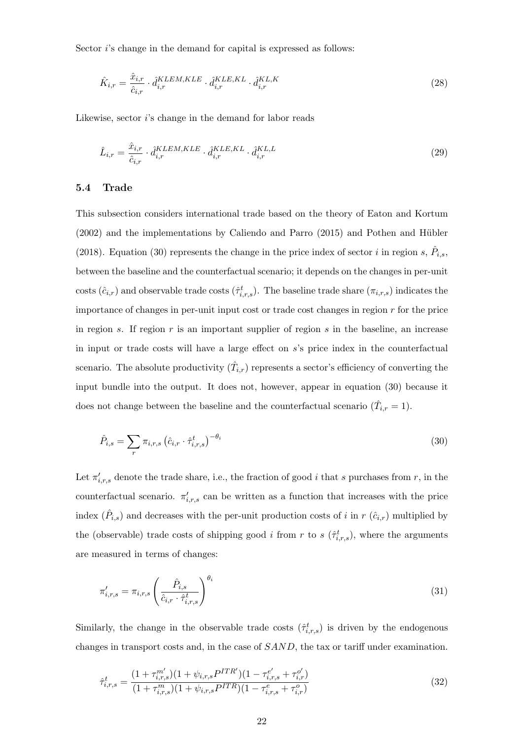Sector *i*'s change in the demand for capital is expressed as follows:

$$
\hat{K}_{i,r} = \frac{\hat{x}_{i,r}}{\hat{c}_{i,r}} \cdot \hat{d}_{i,r}^{KLEM,KLE} \cdot \hat{d}_{i,r}^{KLE,KL} \cdot \hat{d}_{i,r}^{KL,K}
$$
\n(28)

Likewise, sector i's change in the demand for labor reads

$$
\hat{L}_{i,r} = \frac{\hat{x}_{i,r}}{\hat{c}_{i,r}} \cdot \hat{d}_{i,r}^{KLEM,KLE} \cdot \hat{d}_{i,r}^{KLE,KL} \cdot \hat{d}_{i,r}^{KL,L}
$$
\n(29)

## 5.4 Trade

This subsection considers international trade based on the theory of Eaton and Kortum  $(2002)$  and the implementations by Caliendo and Parro  $(2015)$  and Pothen and Hübler (2018). Equation (30) represents the change in the price index of sector i in region s,  $\hat{P}_{i,s}$ , between the baseline and the counterfactual scenario; it depends on the changes in per-unit costs  $(\hat{c}_{i,r})$  and observable trade costs  $(\hat{\tau}_{i,r,s}^t)$ . The baseline trade share  $(\pi_{i,r,s})$  indicates the importance of changes in per-unit input cost or trade cost changes in region r for the price in region s. If region  $r$  is an important supplier of region  $s$  in the baseline, an increase in input or trade costs will have a large effect on s's price index in the counterfactual scenario. The absolute productivity  $(\hat{T}_{i,r})$  represents a sector's efficiency of converting the input bundle into the output. It does not, however, appear in equation (30) because it does not change between the baseline and the counterfactual scenario  $(\hat{T}_{i,r} = 1)$ .

$$
\hat{P}_{i,s} = \sum_{r} \pi_{i,r,s} \left( \hat{c}_{i,r} \cdot \hat{\tau}_{i,r,s}^t \right)^{-\theta_i}
$$
\n(30)

Let  $\pi'_{i,r,s}$  denote the trade share, i.e., the fraction of good i that s purchases from r, in the counterfactual scenario.  $\pi'_{i,r,s}$  can be written as a function that increases with the price index  $(\hat{P}_{i,s})$  and decreases with the per-unit production costs of i in r  $(\hat{c}_{i,r})$  multiplied by the (observable) trade costs of shipping good *i* from *r* to *s* ( $\hat{\tau}_{i,r,s}^{t}$ ), where the arguments are measured in terms of changes:

$$
\pi'_{i,r,s} = \pi_{i,r,s} \left( \frac{\hat{P}_{i,s}}{\hat{c}_{i,r} \cdot \hat{\tau}^t_{i,r,s}} \right)^{\theta_i} \tag{31}
$$

Similarly, the change in the observable trade costs  $(\hat{\tau}_{i,r,s}^t)$  is driven by the endogenous changes in transport costs and, in the case of SAND, the tax or tariff under examination.

$$
\hat{\tau}_{i,r,s}^t = \frac{(1 + \tau_{i,r,s}^{m'}) (1 + \psi_{i,r,s} P^{ITR'}) (1 - \tau_{i,r,s}^{e'} + \tau_{i,r}^{o'})}{(1 + \tau_{i,r,s}^{m}) (1 + \psi_{i,r,s} P^{ITR}) (1 - \tau_{i,r,s}^{e} + \tau_{i,r}^{o})}
$$
(32)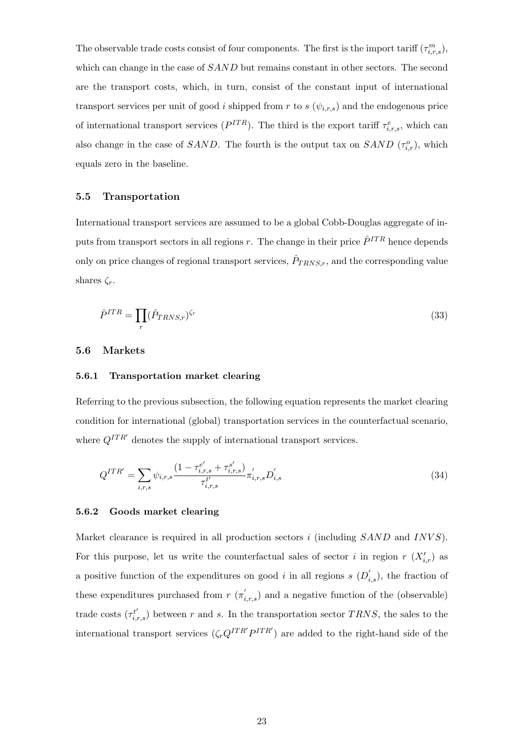The observable trade costs consist of four components. The first is the import tariff  $(\tau_{i,r,s}^m)$ , which can change in the case of  $SAND$  but remains constant in other sectors. The second are the transport costs, which, in turn, consist of the constant input of international transport services per unit of good i shipped from r to s  $(\psi_{i,r,s})$  and the endogenous price of international transport services  $(P^{ITR})$ . The third is the export tariff  $\tau_{i,r,s}^e$ , which can also change in the case of SAND. The fourth is the output tax on SAND  $(\tau_{i,r}^o)$ , which equals zero in the baseline.

## 5.5 Transportation

International transport services are assumed to be a global Cobb-Douglas aggregate of inputs from transport sectors in all regions r. The change in their price  $\hat{P}^{ITR}$  hence depends only on price changes of regional transport services,  $\hat{P}_{TRNS,r}$ , and the corresponding value shares  $\zeta_r$ .

$$
\hat{P}^{ITR} = \prod_{r} (\hat{P}_{TRNS,r})^{\zeta_r} \tag{33}
$$

## 5.6 Markets

#### 5.6.1 Transportation market clearing

Referring to the previous subsection, the following equation represents the market clearing condition for international (global) transportation services in the counterfactual scenario, where  $Q^{ITR'}$  denotes the supply of international transport services.

$$
Q^{ITR'} = \sum_{i,r,s} \psi_{i,r,s} \frac{(1 - \tau_{i,r,s}^{e'} + \tau_{i,r,s}^{s'})}{\tau_{i,r,s}^{t'}} \pi_{i,r,s}' D_{i,s}' \tag{34}
$$

## 5.6.2 Goods market clearing

Market clearance is required in all production sectors  $i$  (including  $SAND$  and  $INVS$ ). For this purpose, let us write the counterfactual sales of sector i in region  $r(X'_{i,r})$  as a positive function of the expenditures on good i in all regions  $s(D'_{i,s})$ , the fraction of these expenditures purchased from  $r(\pi'_{i,r,s})$  and a negative function of the (observable) trade costs  $(\tau_{i,r,s}^{t'})$  between r and s. In the transportation sector TRNS, the sales to the international transport services  $(\zeta_r Q^{ITR'}P^{ITR'})$  are added to the right-hand side of the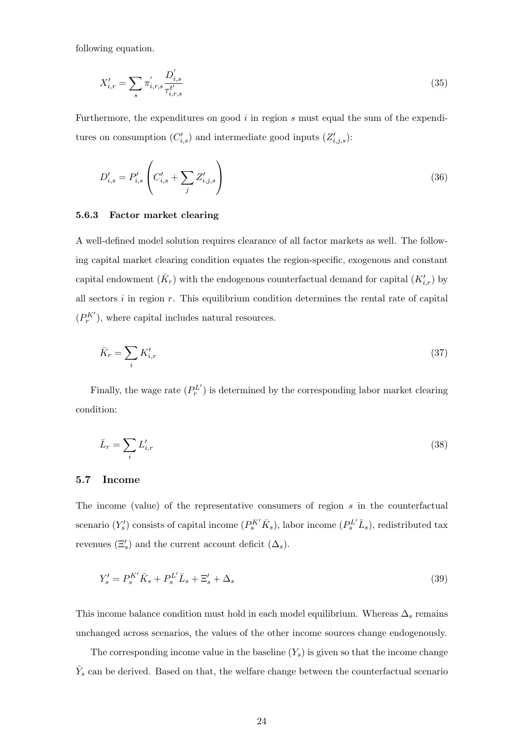following equation.

$$
X'_{i,r} = \sum_{s} \pi'_{i,r,s} \frac{D'_{i,s}}{\tau_{i,r,s}^{t'}} \tag{35}
$$

Furthermore, the expenditures on good  $i$  in region s must equal the sum of the expenditures on consumption  $(C'_{i,s})$  and intermediate good inputs  $(Z'_{i,j,s})$ :

$$
D'_{i,s} = P'_{i,s} \left( C'_{i,s} + \sum_{j} Z'_{i,j,s} \right)
$$
 (36)

## 5.6.3 Factor market clearing

A well-defined model solution requires clearance of all factor markets as well. The following capital market clearing condition equates the region-specific, exogenous and constant capital endowment  $(\bar{K}_r)$  with the endogenous counterfactual demand for capital  $(K'_{i,r})$  by all sectors  $i$  in region  $r$ . This equilibrium condition determines the rental rate of capital  $({\cal P}^{K'}_r),$  where capital includes natural resources.

$$
\bar{K}_r = \sum_i K'_{i,r} \tag{37}
$$

Finally, the wage rate  $(P_r^{L'})$  is determined by the corresponding labor market clearing condition:

$$
\bar{L}_r = \sum_i L'_{i,r} \tag{38}
$$

## 5.7 Income

The income (value) of the representative consumers of region s in the counterfactual scenario  $(Y_s')$  consists of capital income  $(P_s^{K'}\bar{K}_s)$ , labor income  $(P_s^{L'}\bar{L}_s)$ , redistributed tax revenues  $(\Xi'_s)$  and the current account deficit  $(\Delta_s)$ .

$$
Y_s' = P_s^{K'} \overline{K}_s + P_s^{L'} \overline{L}_s + \Xi_s' + \Delta_s \tag{39}
$$

This income balance condition must hold in each model equilibrium. Whereas  $\Delta_s$  remains unchanged across scenarios, the values of the other income sources change endogenously.

The corresponding income value in the baseline  $(Y_s)$  is given so that the income change  $\hat{Y}_s$  can be derived. Based on that, the welfare change between the counterfactual scenario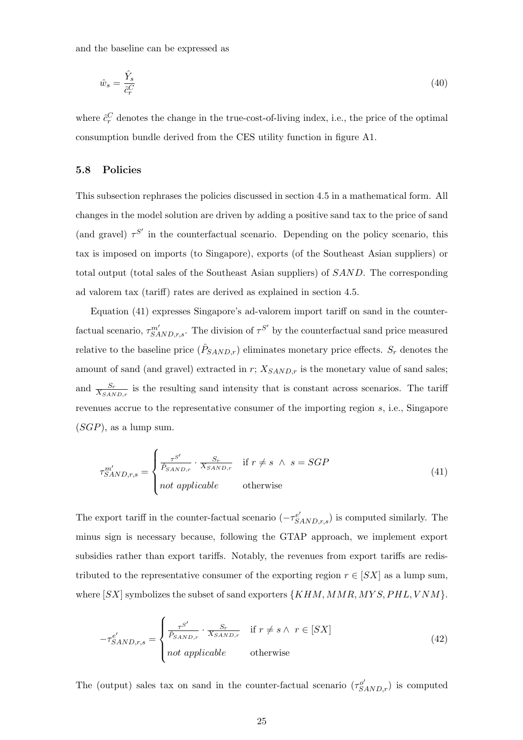and the baseline can be expressed as

$$
\hat{w}_s = \frac{\hat{Y}_s}{\hat{c}_r^C} \tag{40}
$$

where  $\hat{c}_r^C$  denotes the change in the true-cost-of-living index, i.e., the price of the optimal consumption bundle derived from the CES utility function in figure A1.

## 5.8 Policies

This subsection rephrases the policies discussed in section 4.5 in a mathematical form. All changes in the model solution are driven by adding a positive sand tax to the price of sand (and gravel)  $\tau^{S'}$  in the counterfactual scenario. Depending on the policy scenario, this tax is imposed on imports (to Singapore), exports (of the Southeast Asian suppliers) or total output (total sales of the Southeast Asian suppliers) of SAND. The corresponding ad valorem tax (tariff) rates are derived as explained in section 4.5.

Equation (41) expresses Singapore's ad-valorem import tariff on sand in the counterfactual scenario,  $\tau^{m'}_{SAND,r,s}$ . The division of  $\tau^{S'}$  by the counterfactual sand price measured relative to the baseline price  $(\hat{P}_{SAND,r})$  eliminates monetary price effects.  $S_r$  denotes the amount of sand (and gravel) extracted in  $r$ ;  $X_{SAND,r}$  is the monetary value of sand sales; and  $\frac{S_r}{X_{SAND,r}}$  is the resulting sand intensity that is constant across scenarios. The tariff revenues accrue to the representative consumer of the importing region s, i.e., Singapore  $(SGP)$ , as a lump sum.

$$
\tau_{SAND,r,s}^{m'} = \begin{cases}\n\frac{\tau^{S'}}{\hat{P}_{SAND,r}} \cdot \frac{S_r}{X_{SAND,r}} & \text{if } r \neq s \ \land \ s = SGP \\
not \ \text{applied} \quad \text{otherwise}\n\end{cases} \tag{41}
$$

The export tariff in the counter-factual scenario  $(-\tau_{SAND,r,s}^{e'})$  is computed similarly. The minus sign is necessary because, following the GTAP approach, we implement export subsidies rather than export tariffs. Notably, the revenues from export tariffs are redistributed to the representative consumer of the exporting region  $r \in [SX]$  as a lump sum, where  $[SX]$  symbolizes the subset of sand exporters  $\{KHM, MMR, MYS, PHL, VNM\}.$ 

$$
-\tau_{SAND,r,s}^{e'} = \begin{cases} \frac{\tau^{S'}}{\hat{P}_{SAND,r}} \cdot \frac{S_r}{X_{SAND,r}} & \text{if } r \neq s \land r \in [SX] \\ not applicable & \text{otherwise} \end{cases}
$$
(42)

The (output) sales tax on sand in the counter-factual scenario  $(\tau_{SAND,r}^{\sigma'})$  is computed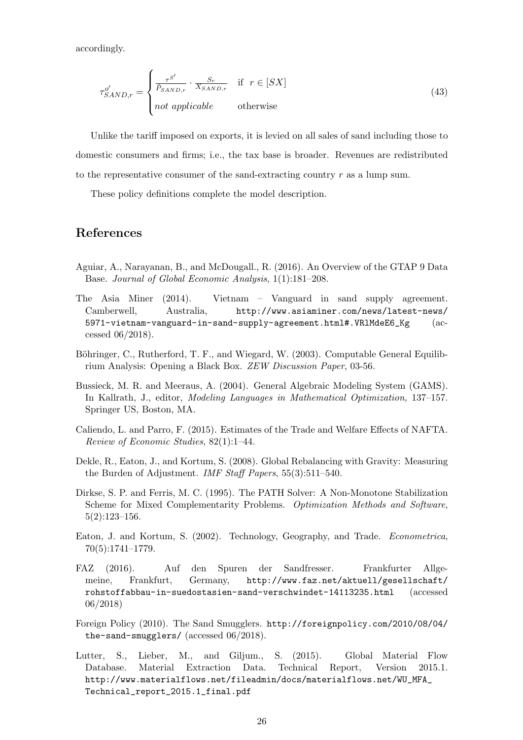accordingly.

$$
\tau_{SAND,r}^o = \begin{cases}\n\frac{\tau^{S'}}{\hat{P}_{SAND,r}} \cdot \frac{S_r}{X_{SAND,r}} & \text{if } r \in [SX] \\
not \text{ applicable} & \text{otherwise}\n\end{cases}
$$
\n(43)

Unlike the tariff imposed on exports, it is levied on all sales of sand including those to domestic consumers and firms; i.e., the tax base is broader. Revenues are redistributed to the representative consumer of the sand-extracting country r as a lump sum.

These policy definitions complete the model description.

## References

- Aguiar, A., Narayanan, B., and McDougall., R. (2016). An Overview of the GTAP 9 Data Base. Journal of Global Economic Analysis, 1(1):181–208.
- The Asia Miner (2014). Vietnam Vanguard in sand supply agreement. Camberwell, Australia, http://www.asiaminer.com/news/latest-news/ 5971-vietnam-vanguard-in-sand-supply-agreement.html#.VRlMdeE6\_Kg (accessed 06/2018).
- Böhringer, C., Rutherford, T. F., and Wiegard, W. (2003). Computable General Equilibrium Analysis: Opening a Black Box. ZEW Discussion Paper, 03-56.
- Bussieck, M. R. and Meeraus, A. (2004). General Algebraic Modeling System (GAMS). In Kallrath, J., editor, Modeling Languages in Mathematical Optimization, 137–157. Springer US, Boston, MA.
- Caliendo, L. and Parro, F. (2015). Estimates of the Trade and Welfare Effects of NAFTA. Review of Economic Studies, 82(1):1–44.
- Dekle, R., Eaton, J., and Kortum, S. (2008). Global Rebalancing with Gravity: Measuring the Burden of Adjustment. *IMF Staff Papers*, 55(3):511–540.
- Dirkse, S. P. and Ferris, M. C. (1995). The PATH Solver: A Non-Monotone Stabilization Scheme for Mixed Complementarity Problems. Optimization Methods and Software, 5(2):123–156.
- Eaton, J. and Kortum, S. (2002). Technology, Geography, and Trade. Econometrica, 70(5):1741–1779.
- FAZ (2016). Auf den Spuren der Sandfresser. Frankfurter Allgemeine, Frankfurt, Germany, http://www.faz.net/aktuell/gesellschaft/ rohstoffabbau-in-suedostasien-sand-verschwindet-14113235.html (accessed 06/2018)
- Foreign Policy (2010). The Sand Smugglers. http://foreignpolicy.com/2010/08/04/ the-sand-smugglers/ (accessed 06/2018).
- Lutter, S., Lieber, M., and Giljum., S. (2015). Global Material Flow Database. Material Extraction Data. Technical Report, Version 2015.1. http://www.materialflows.net/fileadmin/docs/materialflows.net/WU\_MFA\_ Technical\_report\_2015.1\_final.pdf